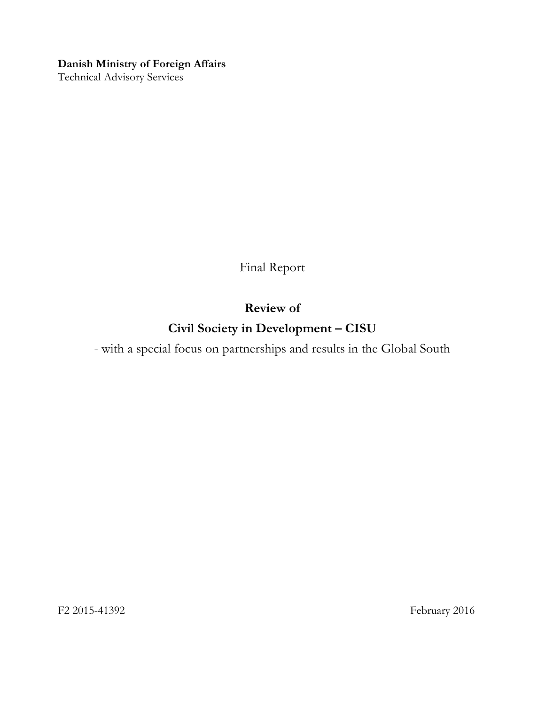#### **Danish Ministry of Foreign Affairs**

Technical Advisory Services

Final Report

## **Review of**

# **Civil Society in Development – CISU**

- with a special focus on partnerships and results in the Global South

F2 2015-41392 February 2016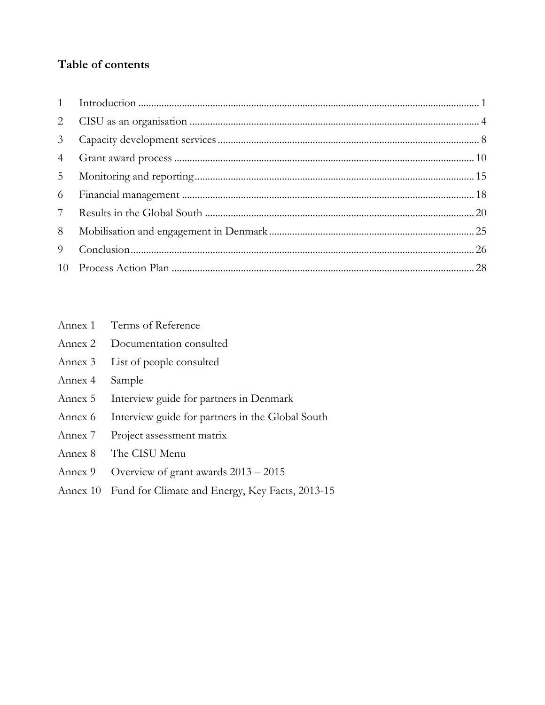## **Table of contents**

| 3 <sup>7</sup>  |  |
|-----------------|--|
| $4\overline{ }$ |  |
| 5 <sup>5</sup>  |  |
| 6               |  |
| $7\phantom{0}$  |  |
| 8               |  |
| 9 <sup>1</sup>  |  |
|                 |  |

| Annex 1 |  | Terms of Reference |
|---------|--|--------------------|
|         |  |                    |

| Documentation consulted<br>Annex 2 |  |
|------------------------------------|--|
|------------------------------------|--|

- Annex 3 [List of people consulted](#page-41-0)
- [Annex 4](#page-49-0) Sample
- Annex 5 [Interview guide for partners in Denmark](#page-51-0)
- Annex 6 [Interview guide for partners in the Global South](#page-53-0)
- Annex 7 [Project assessment matrix](#page-54-0)
- Annex 8 [The CISU Menu](#page-57-0)
- Annex 9 [Overview of grant awards 2013](#page-59-0)  2015
- Annex 10 [Fund for Climate and Energy, Key Facts, 2013-15](#page-60-0)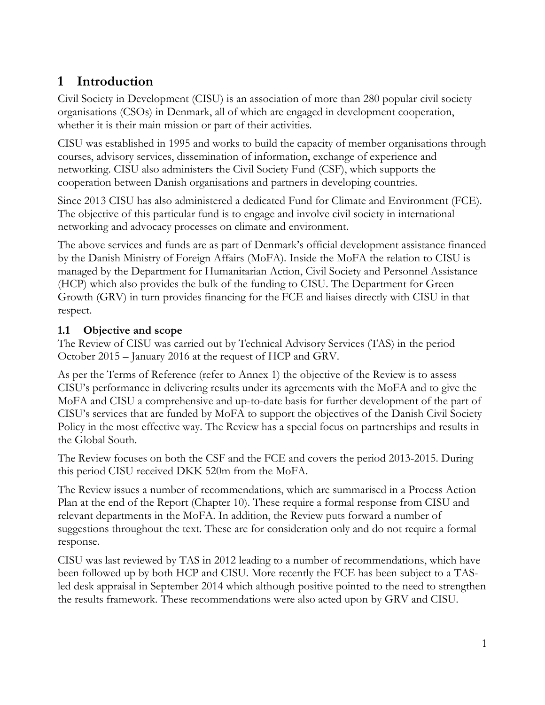# <span id="page-2-0"></span>**1 Introduction**

Civil Society in Development (CISU) is an association of more than 280 popular civil society organisations (CSOs) in Denmark, all of which are engaged in development cooperation, whether it is their main mission or part of their activities.

CISU was established in 1995 and works to build the capacity of member organisations through courses, advisory services, dissemination of information, exchange of experience and networking. CISU also administers the Civil Society Fund (CSF), which supports the cooperation between Danish organisations and partners in developing countries.

Since 2013 CISU has also administered a dedicated Fund for Climate and Environment (FCE). The objective of this particular fund is to engage and involve civil society in international networking and advocacy processes on climate and environment.

The above services and funds are as part of Denmark's official development assistance financed by the Danish Ministry of Foreign Affairs (MoFA). Inside the MoFA the relation to CISU is managed by the Department for Humanitarian Action, Civil Society and Personnel Assistance (HCP) which also provides the bulk of the funding to CISU. The Department for Green Growth (GRV) in turn provides financing for the FCE and liaises directly with CISU in that respect.

## **1.1 Objective and scope**

The Review of CISU was carried out by Technical Advisory Services (TAS) in the period October 2015 – January 2016 at the request of HCP and GRV.

As per the Terms of Reference (refer to Annex 1) the objective of the Review is to assess CISU's performance in delivering results under its agreements with the MoFA and to give the MoFA and CISU a comprehensive and up-to-date basis for further development of the part of CISU's services that are funded by MoFA to support the objectives of the Danish Civil Society Policy in the most effective way. The Review has a special focus on partnerships and results in the Global South.

The Review focuses on both the CSF and the FCE and covers the period 2013-2015. During this period CISU received DKK 520m from the MoFA.

The Review issues a number of recommendations, which are summarised in a Process Action Plan at the end of the Report (Chapter 10). These require a formal response from CISU and relevant departments in the MoFA. In addition, the Review puts forward a number of suggestions throughout the text. These are for consideration only and do not require a formal response.

CISU was last reviewed by TAS in 2012 leading to a number of recommendations, which have been followed up by both HCP and CISU. More recently the FCE has been subject to a TASled desk appraisal in September 2014 which although positive pointed to the need to strengthen the results framework. These recommendations were also acted upon by GRV and CISU.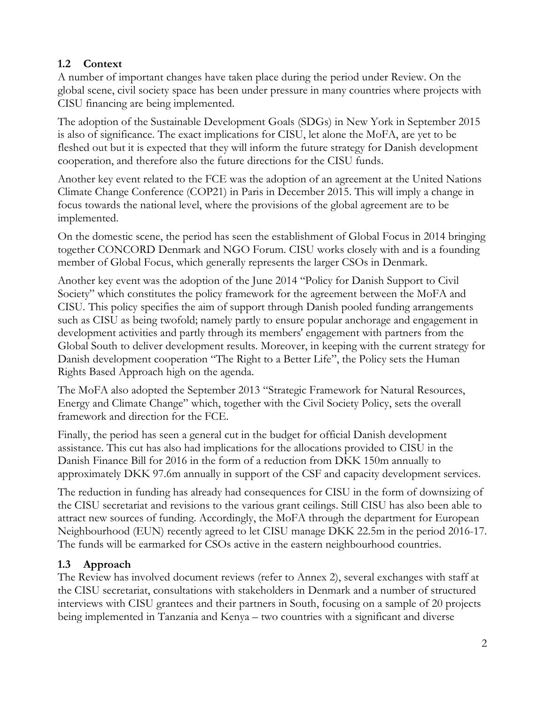## **1.2 Context**

A number of important changes have taken place during the period under Review. On the global scene, civil society space has been under pressure in many countries where projects with CISU financing are being implemented.

The adoption of the Sustainable Development Goals (SDGs) in New York in September 2015 is also of significance. The exact implications for CISU, let alone the MoFA, are yet to be fleshed out but it is expected that they will inform the future strategy for Danish development cooperation, and therefore also the future directions for the CISU funds.

Another key event related to the FCE was the adoption of an agreement at the United Nations Climate Change Conference (COP21) in Paris in December 2015. This will imply a change in focus towards the national level, where the provisions of the global agreement are to be implemented.

On the domestic scene, the period has seen the establishment of Global Focus in 2014 bringing together CONCORD Denmark and NGO Forum. CISU works closely with and is a founding member of Global Focus, which generally represents the larger CSOs in Denmark.

Another key event was the adoption of the June 2014 "Policy for Danish Support to Civil Society" which constitutes the policy framework for the agreement between the MoFA and CISU*.* This policy specifies the aim of support through Danish pooled funding arrangements such as CISU as being twofold; namely partly to ensure popular anchorage and engagement in development activities and partly through its members' engagement with partners from the Global South to deliver development results. Moreover, in keeping with the current strategy for Danish development cooperation "The Right to a Better Life", the Policy sets the Human Rights Based Approach high on the agenda.

The MoFA also adopted the September 2013 "Strategic Framework for Natural Resources, Energy and Climate Change" which, together with the Civil Society Policy, sets the overall framework and direction for the FCE.

Finally, the period has seen a general cut in the budget for official Danish development assistance. This cut has also had implications for the allocations provided to CISU in the Danish Finance Bill for 2016 in the form of a reduction from DKK 150m annually to approximately DKK 97.6m annually in support of the CSF and capacity development services.

The reduction in funding has already had consequences for CISU in the form of downsizing of the CISU secretariat and revisions to the various grant ceilings. Still CISU has also been able to attract new sources of funding. Accordingly, the MoFA through the department for European Neighbourhood (EUN) recently agreed to let CISU manage DKK 22.5m in the period 2016-17. The funds will be earmarked for CSOs active in the eastern neighbourhood countries.

## **1.3 Approach**

The Review has involved document reviews (refer to Annex 2), several exchanges with staff at the CISU secretariat, consultations with stakeholders in Denmark and a number of structured interviews with CISU grantees and their partners in South, focusing on a sample of 20 projects being implemented in Tanzania and Kenya – two countries with a significant and diverse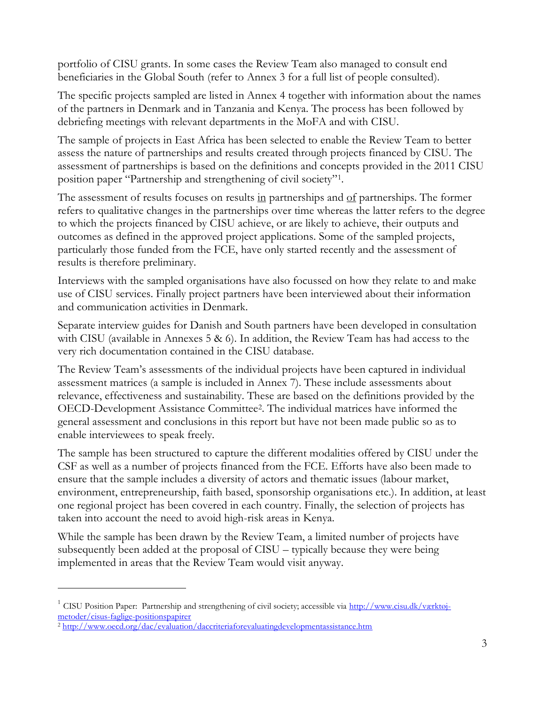portfolio of CISU grants. In some cases the Review Team also managed to consult end beneficiaries in the Global South (refer to Annex 3 for a full list of people consulted).

The specific projects sampled are listed in Annex 4 together with information about the names of the partners in Denmark and in Tanzania and Kenya. The process has been followed by debriefing meetings with relevant departments in the MoFA and with CISU.

The sample of projects in East Africa has been selected to enable the Review Team to better assess the nature of partnerships and results created through projects financed by CISU. The assessment of partnerships is based on the definitions and concepts provided in the 2011 CISU position paper "Partnership and strengthening of civil society"<sup>1</sup> .

The assessment of results focuses on results in partnerships and of partnerships. The former refers to qualitative changes in the partnerships over time whereas the latter refers to the degree to which the projects financed by CISU achieve, or are likely to achieve, their outputs and outcomes as defined in the approved project applications. Some of the sampled projects, particularly those funded from the FCE, have only started recently and the assessment of results is therefore preliminary.

Interviews with the sampled organisations have also focussed on how they relate to and make use of CISU services. Finally project partners have been interviewed about their information and communication activities in Denmark.

Separate interview guides for Danish and South partners have been developed in consultation with CISU (available in Annexes 5 & 6). In addition, the Review Team has had access to the very rich documentation contained in the CISU database.

The Review Team's assessments of the individual projects have been captured in individual assessment matrices (a sample is included in Annex 7). These include assessments about relevance, effectiveness and sustainability. These are based on the definitions provided by the OECD-Development Assistance Committee<sup>2</sup> . The individual matrices have informed the general assessment and conclusions in this report but have not been made public so as to enable interviewees to speak freely.

The sample has been structured to capture the different modalities offered by CISU under the CSF as well as a number of projects financed from the FCE. Efforts have also been made to ensure that the sample includes a diversity of actors and thematic issues (labour market, environment, entrepreneurship, faith based, sponsorship organisations etc.). In addition, at least one regional project has been covered in each country. Finally, the selection of projects has taken into account the need to avoid high-risk areas in Kenya.

While the sample has been drawn by the Review Team, a limited number of projects have subsequently been added at the proposal of CISU – typically because they were being implemented in areas that the Review Team would visit anyway.

 $\overline{a}$ 

<sup>&</sup>lt;sup>1</sup> CISU Position Paper: Partnership and strengthening of civil society; accessible via [http://www.cisu.dk/værktøj](http://www.cisu.dk/værktøj-metoder/cisus-faglige-positionspapirer)[metoder/cisus-faglige-positionspapirer](http://www.cisu.dk/værktøj-metoder/cisus-faglige-positionspapirer)

<sup>&</sup>lt;sup>2</sup> <http://www.oecd.org/dac/evaluation/daccriteriaforevaluatingdevelopmentassistance.htm>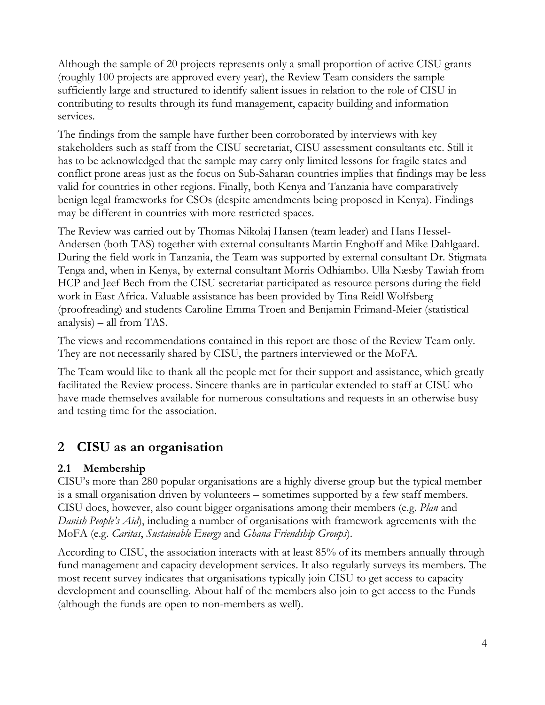Although the sample of 20 projects represents only a small proportion of active CISU grants (roughly 100 projects are approved every year), the Review Team considers the sample sufficiently large and structured to identify salient issues in relation to the role of CISU in contributing to results through its fund management, capacity building and information services.

The findings from the sample have further been corroborated by interviews with key stakeholders such as staff from the CISU secretariat, CISU assessment consultants etc. Still it has to be acknowledged that the sample may carry only limited lessons for fragile states and conflict prone areas just as the focus on Sub-Saharan countries implies that findings may be less valid for countries in other regions. Finally, both Kenya and Tanzania have comparatively benign legal frameworks for CSOs (despite amendments being proposed in Kenya). Findings may be different in countries with more restricted spaces.

The Review was carried out by Thomas Nikolaj Hansen (team leader) and Hans Hessel-Andersen (both TAS) together with external consultants Martin Enghoff and Mike Dahlgaard. During the field work in Tanzania, the Team was supported by external consultant Dr. Stigmata Tenga and, when in Kenya, by external consultant Morris Odhiambo. Ulla Næsby Tawiah from HCP and Jeef Bech from the CISU secretariat participated as resource persons during the field work in East Africa. Valuable assistance has been provided by Tina Reidl Wolfsberg (proofreading) and students Caroline Emma Troen and Benjamin Frimand-Meier (statistical analysis) – all from TAS.

The views and recommendations contained in this report are those of the Review Team only. They are not necessarily shared by CISU, the partners interviewed or the MoFA.

The Team would like to thank all the people met for their support and assistance, which greatly facilitated the Review process. Sincere thanks are in particular extended to staff at CISU who have made themselves available for numerous consultations and requests in an otherwise busy and testing time for the association.

# <span id="page-5-0"></span>**2 CISU as an organisation**

## **2.1 Membership**

CISU's more than 280 popular organisations are a highly diverse group but the typical member is a small organisation driven by volunteers – sometimes supported by a few staff members. CISU does, however, also count bigger organisations among their members (e.g. *Plan* and *Danish People's Aid*), including a number of organisations with framework agreements with the MoFA (e.g. *Caritas*, *Sustainable Energy* and *Ghana Friendship Groups*).

According to CISU, the association interacts with at least 85% of its members annually through fund management and capacity development services. It also regularly surveys its members. The most recent survey indicates that organisations typically join CISU to get access to capacity development and counselling. About half of the members also join to get access to the Funds (although the funds are open to non-members as well).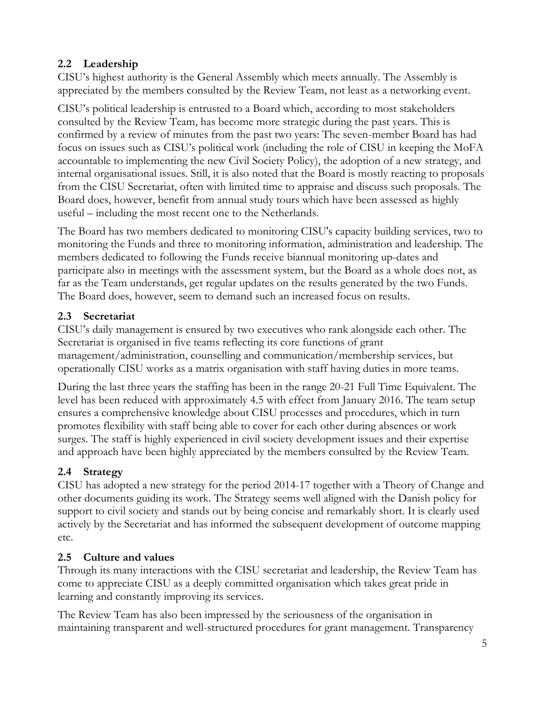## **2.2 Leadership**

CISU's highest authority is the General Assembly which meets annually. The Assembly is appreciated by the members consulted by the Review Team, not least as a networking event.

CISU's political leadership is entrusted to a Board which, according to most stakeholders consulted by the Review Team, has become more strategic during the past years. This is confirmed by a review of minutes from the past two years: The seven-member Board has had focus on issues such as CISU's political work (including the role of CISU in keeping the MoFA accountable to implementing the new Civil Society Policy), the adoption of a new strategy, and internal organisational issues. Still, it is also noted that the Board is mostly reacting to proposals from the CISU Secretariat, often with limited time to appraise and discuss such proposals. The Board does, however, benefit from annual study tours which have been assessed as highly useful – including the most recent one to the Netherlands.

The Board has two members dedicated to monitoring CISU's capacity building services, two to monitoring the Funds and three to monitoring information, administration and leadership. The members dedicated to following the Funds receive biannual monitoring up-dates and participate also in meetings with the assessment system, but the Board as a whole does not, as far as the Team understands, get regular updates on the results generated by the two Funds. The Board does, however, seem to demand such an increased focus on results.

## **2.3 Secretariat**

CISU's daily management is ensured by two executives who rank alongside each other. The Secretariat is organised in five teams reflecting its core functions of grant management/administration, counselling and communication/membership services, but operationally CISU works as a matrix organisation with staff having duties in more teams.

During the last three years the staffing has been in the range 20-21 Full Time Equivalent. The level has been reduced with approximately 4.5 with effect from January 2016. The team setup ensures a comprehensive knowledge about CISU processes and procedures, which in turn promotes flexibility with staff being able to cover for each other during absences or work surges. The staff is highly experienced in civil society development issues and their expertise and approach have been highly appreciated by the members consulted by the Review Team.

## **2.4 Strategy**

CISU has adopted a new strategy for the period 2014-17 together with a Theory of Change and other documents guiding its work. The Strategy seems well aligned with the Danish policy for support to civil society and stands out by being concise and remarkably short. It is clearly used actively by the Secretariat and has informed the subsequent development of outcome mapping etc.

## **2.5 Culture and values**

Through its many interactions with the CISU secretariat and leadership, the Review Team has come to appreciate CISU as a deeply committed organisation which takes great pride in learning and constantly improving its services.

The Review Team has also been impressed by the seriousness of the organisation in maintaining transparent and well-structured procedures for grant management. Transparency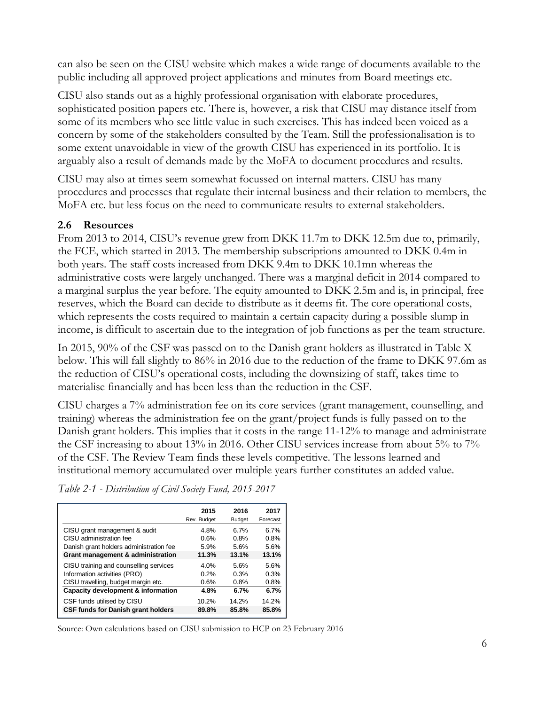can also be seen on the CISU website which makes a wide range of documents available to the public including all approved project applications and minutes from Board meetings etc.

CISU also stands out as a highly professional organisation with elaborate procedures, sophisticated position papers etc. There is, however, a risk that CISU may distance itself from some of its members who see little value in such exercises. This has indeed been voiced as a concern by some of the stakeholders consulted by the Team. Still the professionalisation is to some extent unavoidable in view of the growth CISU has experienced in its portfolio. It is arguably also a result of demands made by the MoFA to document procedures and results.

CISU may also at times seem somewhat focussed on internal matters. CISU has many procedures and processes that regulate their internal business and their relation to members, the MoFA etc. but less focus on the need to communicate results to external stakeholders.

#### **2.6 Resources**

From 2013 to 2014, CISU's revenue grew from DKK 11.7m to DKK 12.5m due to, primarily, the FCE, which started in 2013. The membership subscriptions amounted to DKK 0.4m in both years. The staff costs increased from DKK 9.4m to DKK 10.1mn whereas the administrative costs were largely unchanged. There was a marginal deficit in 2014 compared to a marginal surplus the year before. The equity amounted to DKK 2.5m and is, in principal, free reserves, which the Board can decide to distribute as it deems fit. The core operational costs, which represents the costs required to maintain a certain capacity during a possible slump in income, is difficult to ascertain due to the integration of job functions as per the team structure.

In 2015, 90% of the CSF was passed on to the Danish grant holders as illustrated in Table X below. This will fall slightly to 86% in 2016 due to the reduction of the frame to DKK 97.6m as the reduction of CISU's operational costs, including the downsizing of staff, takes time to materialise financially and has been less than the reduction in the CSF.

CISU charges a 7% administration fee on its core services (grant management, counselling, and training) whereas the administration fee on the grant/project funds is fully passed on to the Danish grant holders. This implies that it costs in the range 11-12% to manage and administrate the CSF increasing to about 13% in 2016. Other CISU services increase from about 5% to 7% of the CSF. The Review Team finds these levels competitive. The lessons learned and institutional memory accumulated over multiple years further constitutes an added value.

|                                           | 2015        | 2016          | 2017     |
|-------------------------------------------|-------------|---------------|----------|
|                                           | Rev. Budget | <b>Budget</b> | Forecast |
| CISU grant management & audit             | 4.8%        | 6.7%          | 6.7%     |
| CISU administration fee                   | 0.6%        | 0.8%          | 0.8%     |
| Danish grant holders administration fee   | 5.9%        | 5.6%          | 5.6%     |
| Grant management & administration         | 11.3%       | 13.1%         | 13.1%    |
| CISU training and counselling services    | 4.0%        | 5.6%          | 5.6%     |
| Information activities (PRO)              | 0.2%        | 0.3%          | 0.3%     |
| CISU travelling, budget margin etc.       | 0.6%        | 0.8%          | 0.8%     |
| Capacity development & information        | 4.8%        | 6.7%          | 6.7%     |
| CSF funds utilised by CISU                | 10.2%       | 14.2%         | 14.2%    |
| <b>CSF funds for Danish grant holders</b> | 89.8%       | 85.8%         | 85.8%    |

*Table 2-1 - Distribution of Civil Society Fund, 2015-2017*

Source: Own calculations based on CISU submission to HCP on 23 February 2016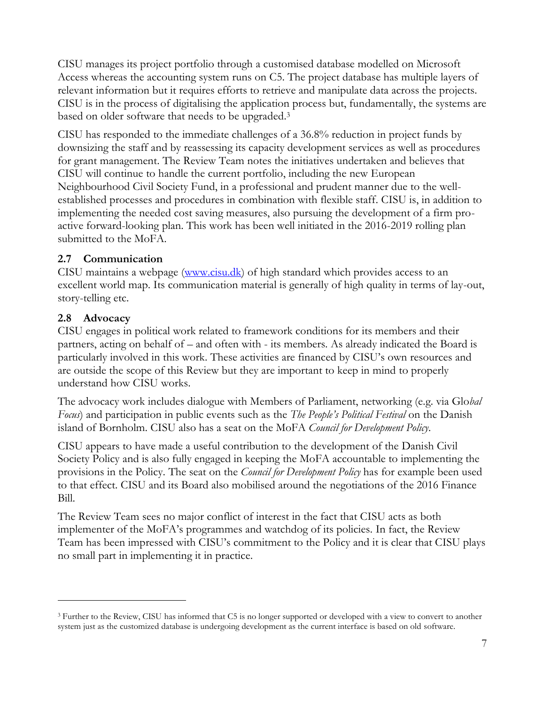CISU manages its project portfolio through a customised database modelled on Microsoft Access whereas the accounting system runs on C5. The project database has multiple layers of relevant information but it requires efforts to retrieve and manipulate data across the projects. CISU is in the process of digitalising the application process but, fundamentally, the systems are based on older software that needs to be upgraded. 3

CISU has responded to the immediate challenges of a 36.8% reduction in project funds by downsizing the staff and by reassessing its capacity development services as well as procedures for grant management. The Review Team notes the initiatives undertaken and believes that CISU will continue to handle the current portfolio, including the new European Neighbourhood Civil Society Fund, in a professional and prudent manner due to the wellestablished processes and procedures in combination with flexible staff. CISU is, in addition to implementing the needed cost saving measures, also pursuing the development of a firm proactive forward-looking plan. This work has been well initiated in the 2016-2019 rolling plan submitted to the MoFA.

#### **2.7 Communication**

CISU maintains a webpage [\(www.cisu.dk\)](http://www.cisu.dk/) of high standard which provides access to an excellent world map. Its communication material is generally of high quality in terms of lay-out, story-telling etc.

## **2.8 Advocacy**

 $\overline{a}$ 

CISU engages in political work related to framework conditions for its members and their partners, acting on behalf of – and often with - its members. As already indicated the Board is particularly involved in this work. These activities are financed by CISU's own resources and are outside the scope of this Review but they are important to keep in mind to properly understand how CISU works.

The advocacy work includes dialogue with Members of Parliament, networking (e.g. via Glo*bal Focus*) and participation in public events such as the *The People's Political Festival* on the Danish island of Bornholm. CISU also has a seat on the MoFA *Council for Development Policy*.

CISU appears to have made a useful contribution to the development of the Danish Civil Society Policy and is also fully engaged in keeping the MoFA accountable to implementing the provisions in the Policy. The seat on the *Council for Development Policy* has for example been used to that effect. CISU and its Board also mobilised around the negotiations of the 2016 Finance Bill.

The Review Team sees no major conflict of interest in the fact that CISU acts as both implementer of the MoFA's programmes and watchdog of its policies. In fact, the Review Team has been impressed with CISU's commitment to the Policy and it is clear that CISU plays no small part in implementing it in practice.

<sup>&</sup>lt;sup>3</sup> Further to the Review, CISU has informed that C5 is no longer supported or developed with a view to convert to another system just as the customized database is undergoing development as the current interface is based on old software.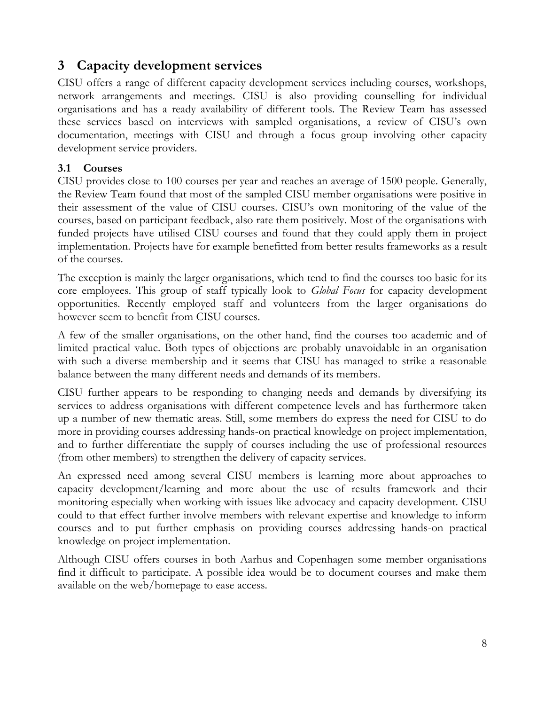## <span id="page-9-0"></span>**3 Capacity development services**

CISU offers a range of different capacity development services including courses, workshops, network arrangements and meetings. CISU is also providing counselling for individual organisations and has a ready availability of different tools. The Review Team has assessed these services based on interviews with sampled organisations, a review of CISU's own documentation, meetings with CISU and through a focus group involving other capacity development service providers.

#### **3.1 Courses**

CISU provides close to 100 courses per year and reaches an average of 1500 people. Generally, the Review Team found that most of the sampled CISU member organisations were positive in their assessment of the value of CISU courses. CISU's own monitoring of the value of the courses, based on participant feedback, also rate them positively. Most of the organisations with funded projects have utilised CISU courses and found that they could apply them in project implementation. Projects have for example benefitted from better results frameworks as a result of the courses.

The exception is mainly the larger organisations, which tend to find the courses too basic for its core employees. This group of staff typically look to *Global Focus* for capacity development opportunities. Recently employed staff and volunteers from the larger organisations do however seem to benefit from CISU courses.

A few of the smaller organisations, on the other hand, find the courses too academic and of limited practical value. Both types of objections are probably unavoidable in an organisation with such a diverse membership and it seems that CISU has managed to strike a reasonable balance between the many different needs and demands of its members.

CISU further appears to be responding to changing needs and demands by diversifying its services to address organisations with different competence levels and has furthermore taken up a number of new thematic areas. Still, some members do express the need for CISU to do more in providing courses addressing hands-on practical knowledge on project implementation, and to further differentiate the supply of courses including the use of professional resources (from other members) to strengthen the delivery of capacity services.

An expressed need among several CISU members is learning more about approaches to capacity development/learning and more about the use of results framework and their monitoring especially when working with issues like advocacy and capacity development. CISU could to that effect further involve members with relevant expertise and knowledge to inform courses and to put further emphasis on providing courses addressing hands-on practical knowledge on project implementation.

Although CISU offers courses in both Aarhus and Copenhagen some member organisations find it difficult to participate. A possible idea would be to document courses and make them available on the web/homepage to ease access.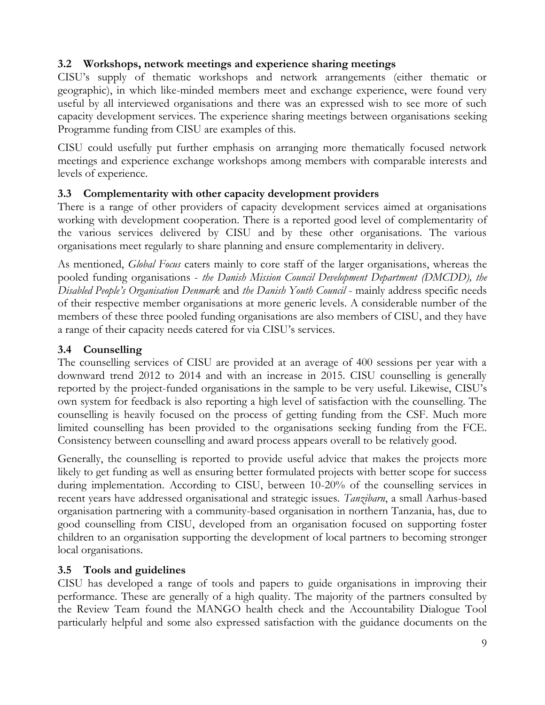## **3.2 Workshops, network meetings and experience sharing meetings**

CISU's supply of thematic workshops and network arrangements (either thematic or geographic), in which like-minded members meet and exchange experience, were found very useful by all interviewed organisations and there was an expressed wish to see more of such capacity development services. The experience sharing meetings between organisations seeking Programme funding from CISU are examples of this.

CISU could usefully put further emphasis on arranging more thematically focused network meetings and experience exchange workshops among members with comparable interests and levels of experience.

#### **3.3 Complementarity with other capacity development providers**

There is a range of other providers of capacity development services aimed at organisations working with development cooperation. There is a reported good level of complementarity of the various services delivered by CISU and by these other organisations. The various organisations meet regularly to share planning and ensure complementarity in delivery.

As mentioned, *Global Focus* caters mainly to core staff of the larger organisations, whereas the pooled funding organisations - *the Danish Mission Council Development Department (DMCDD), the Disabled People's Organisation Denmark* and *the Danish Youth Council* - mainly address specific needs of their respective member organisations at more generic levels. A considerable number of the members of these three pooled funding organisations are also members of CISU, and they have a range of their capacity needs catered for via CISU's services.

#### **3.4 Counselling**

The counselling services of CISU are provided at an average of 400 sessions per year with a downward trend 2012 to 2014 and with an increase in 2015. CISU counselling is generally reported by the project-funded organisations in the sample to be very useful. Likewise, CISU's own system for feedback is also reporting a high level of satisfaction with the counselling. The counselling is heavily focused on the process of getting funding from the CSF. Much more limited counselling has been provided to the organisations seeking funding from the FCE. Consistency between counselling and award process appears overall to be relatively good.

Generally, the counselling is reported to provide useful advice that makes the projects more likely to get funding as well as ensuring better formulated projects with better scope for success during implementation. According to CISU, between 10-20% of the counselling services in recent years have addressed organisational and strategic issues. *Tanzibarn*, a small Aarhus-based organisation partnering with a community-based organisation in northern Tanzania, has, due to good counselling from CISU, developed from an organisation focused on supporting foster children to an organisation supporting the development of local partners to becoming stronger local organisations.

#### **3.5 Tools and guidelines**

CISU has developed a range of tools and papers to guide organisations in improving their performance. These are generally of a high quality. The majority of the partners consulted by the Review Team found the MANGO health check and the Accountability Dialogue Tool particularly helpful and some also expressed satisfaction with the guidance documents on the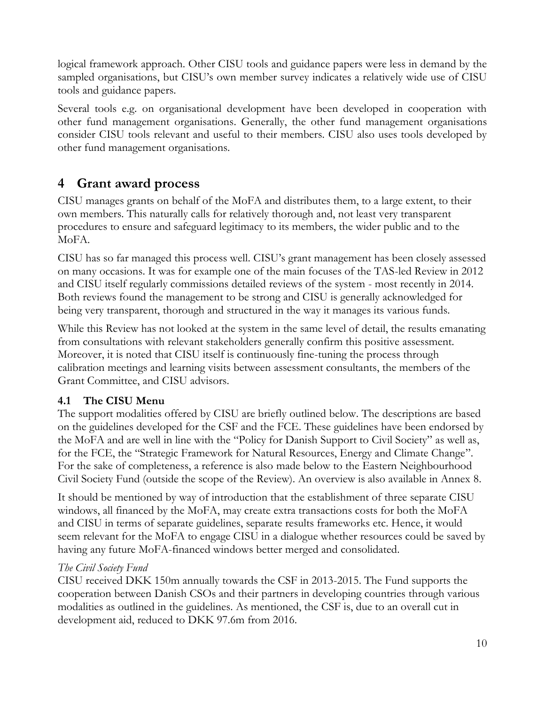logical framework approach. Other CISU tools and guidance papers were less in demand by the sampled organisations, but CISU's own member survey indicates a relatively wide use of CISU tools and guidance papers.

Several tools e.g. on organisational development have been developed in cooperation with other fund management organisations. Generally, the other fund management organisations consider CISU tools relevant and useful to their members. CISU also uses tools developed by other fund management organisations.

# <span id="page-11-0"></span>**4 Grant award process**

CISU manages grants on behalf of the MoFA and distributes them, to a large extent, to their own members. This naturally calls for relatively thorough and, not least very transparent procedures to ensure and safeguard legitimacy to its members, the wider public and to the MoFA.

CISU has so far managed this process well. CISU's grant management has been closely assessed on many occasions. It was for example one of the main focuses of the TAS-led Review in 2012 and CISU itself regularly commissions detailed reviews of the system - most recently in 2014. Both reviews found the management to be strong and CISU is generally acknowledged for being very transparent, thorough and structured in the way it manages its various funds.

While this Review has not looked at the system in the same level of detail, the results emanating from consultations with relevant stakeholders generally confirm this positive assessment. Moreover, it is noted that CISU itself is continuously fine-tuning the process through calibration meetings and learning visits between assessment consultants, the members of the Grant Committee, and CISU advisors.

## **4.1 The CISU Menu**

The support modalities offered by CISU are briefly outlined below. The descriptions are based on the guidelines developed for the CSF and the FCE. These guidelines have been endorsed by the MoFA and are well in line with the "Policy for Danish Support to Civil Society" as well as, for the FCE, the "Strategic Framework for Natural Resources, Energy and Climate Change". For the sake of completeness, a reference is also made below to the Eastern Neighbourhood Civil Society Fund (outside the scope of the Review). An overview is also available in Annex 8.

It should be mentioned by way of introduction that the establishment of three separate CISU windows, all financed by the MoFA, may create extra transactions costs for both the MoFA and CISU in terms of separate guidelines, separate results frameworks etc. Hence, it would seem relevant for the MoFA to engage CISU in a dialogue whether resources could be saved by having any future MoFA-financed windows better merged and consolidated.

## *The Civil Society Fund*

CISU received DKK 150m annually towards the CSF in 2013-2015. The Fund supports the cooperation between Danish CSOs and their partners in developing countries through various modalities as outlined in the guidelines. As mentioned, the CSF is, due to an overall cut in development aid, reduced to DKK 97.6m from 2016.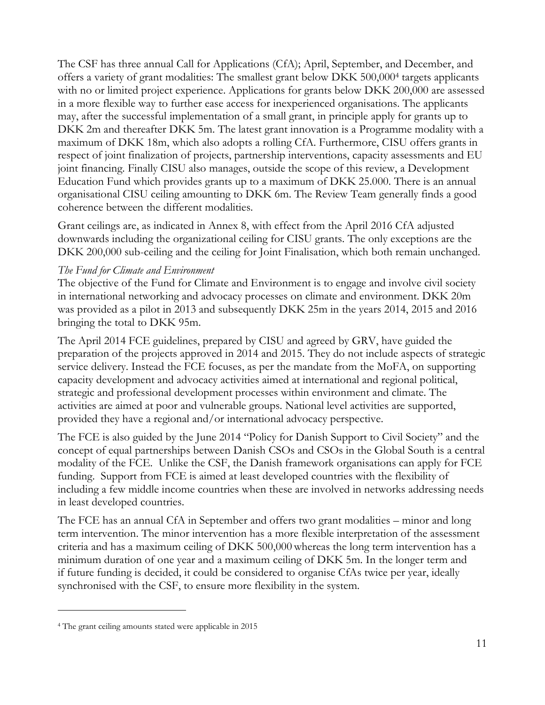The CSF has three annual Call for Applications (CfA); April, September, and December, and offers a variety of grant modalities: The smallest grant below DKK 500,000<sup>4</sup> targets applicants with no or limited project experience. Applications for grants below DKK 200,000 are assessed in a more flexible way to further ease access for inexperienced organisations. The applicants may, after the successful implementation of a small grant, in principle apply for grants up to DKK 2m and thereafter DKK 5m. The latest grant innovation is a Programme modality with a maximum of DKK 18m, which also adopts a rolling CfA. Furthermore, CISU offers grants in respect of joint finalization of projects, partnership interventions, capacity assessments and EU joint financing. Finally CISU also manages, outside the scope of this review, a Development Education Fund which provides grants up to a maximum of DKK 25.000. There is an annual organisational CISU ceiling amounting to DKK 6m. The Review Team generally finds a good coherence between the different modalities.

Grant ceilings are, as indicated in Annex 8, with effect from the April 2016 CfA adjusted downwards including the organizational ceiling for CISU grants. The only exceptions are the DKK 200,000 sub-ceiling and the ceiling for Joint Finalisation, which both remain unchanged.

#### *The Fund for Climate and Environment*

The objective of the Fund for Climate and Environment is to engage and involve civil society in international networking and advocacy processes on climate and environment. DKK 20m was provided as a pilot in 2013 and subsequently DKK 25m in the years 2014, 2015 and 2016 bringing the total to DKK 95m.

The April 2014 FCE guidelines, prepared by CISU and agreed by GRV, have guided the preparation of the projects approved in 2014 and 2015. They do not include aspects of strategic service delivery. Instead the FCE focuses, as per the mandate from the MoFA, on supporting capacity development and advocacy activities aimed at international and regional political, strategic and professional development processes within environment and climate. The activities are aimed at poor and vulnerable groups. National level activities are supported, provided they have a regional and/or international advocacy perspective.

The FCE is also guided by the June 2014 "Policy for Danish Support to Civil Society" and the concept of equal partnerships between Danish CSOs and CSOs in the Global South is a central modality of the FCE. Unlike the CSF, the Danish framework organisations can apply for FCE funding. Support from FCE is aimed at least developed countries with the flexibility of including a few middle income countries when these are involved in networks addressing needs in least developed countries.

The FCE has an annual CfA in September and offers two grant modalities – minor and long term intervention. The minor intervention has a more flexible interpretation of the assessment criteria and has a maximum ceiling of DKK 500,000 whereas the long term intervention has a minimum duration of one year and a maximum ceiling of DKK 5m. In the longer term and if future funding is decided, it could be considered to organise CfAs twice per year, ideally synchronised with the CSF, to ensure more flexibility in the system.

 $\overline{a}$ 

<sup>4</sup> The grant ceiling amounts stated were applicable in 2015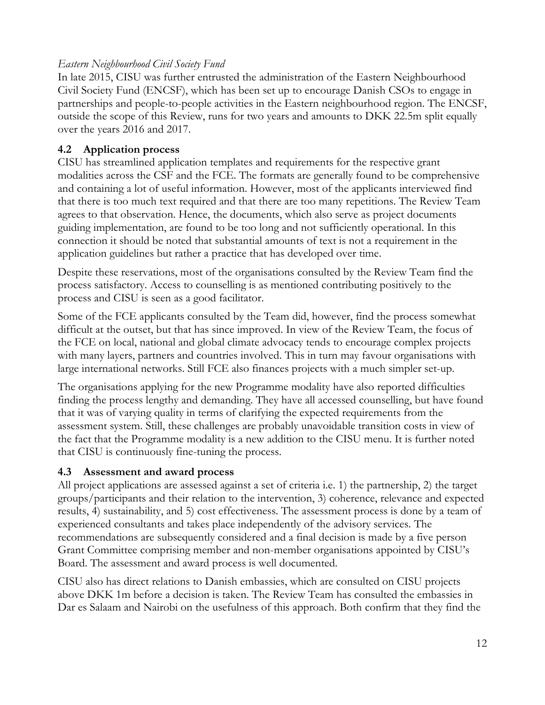#### *Eastern Neighbourhood Civil Society Fund*

In late 2015, CISU was further entrusted the administration of the Eastern Neighbourhood Civil Society Fund (ENCSF), which has been set up to encourage Danish CSOs to engage in partnerships and people-to-people activities in the Eastern neighbourhood region. The ENCSF, outside the scope of this Review, runs for two years and amounts to DKK 22.5m split equally over the years 2016 and 2017.

## **4.2 Application process**

CISU has streamlined application templates and requirements for the respective grant modalities across the CSF and the FCE. The formats are generally found to be comprehensive and containing a lot of useful information. However, most of the applicants interviewed find that there is too much text required and that there are too many repetitions. The Review Team agrees to that observation. Hence, the documents, which also serve as project documents guiding implementation, are found to be too long and not sufficiently operational. In this connection it should be noted that substantial amounts of text is not a requirement in the application guidelines but rather a practice that has developed over time.

Despite these reservations, most of the organisations consulted by the Review Team find the process satisfactory. Access to counselling is as mentioned contributing positively to the process and CISU is seen as a good facilitator.

Some of the FCE applicants consulted by the Team did, however, find the process somewhat difficult at the outset, but that has since improved. In view of the Review Team, the focus of the FCE on local, national and global climate advocacy tends to encourage complex projects with many layers, partners and countries involved. This in turn may favour organisations with large international networks. Still FCE also finances projects with a much simpler set-up.

The organisations applying for the new Programme modality have also reported difficulties finding the process lengthy and demanding. They have all accessed counselling, but have found that it was of varying quality in terms of clarifying the expected requirements from the assessment system. Still, these challenges are probably unavoidable transition costs in view of the fact that the Programme modality is a new addition to the CISU menu. It is further noted that CISU is continuously fine-tuning the process.

## **4.3 Assessment and award process**

All project applications are assessed against a set of criteria i.e. 1) the partnership, 2) the target groups/participants and their relation to the intervention, 3) coherence, relevance and expected results, 4) sustainability, and 5) cost effectiveness. The assessment process is done by a team of experienced consultants and takes place independently of the advisory services. The recommendations are subsequently considered and a final decision is made by a five person Grant Committee comprising member and non-member organisations appointed by CISU's Board. The assessment and award process is well documented.

CISU also has direct relations to Danish embassies, which are consulted on CISU projects above DKK 1m before a decision is taken. The Review Team has consulted the embassies in Dar es Salaam and Nairobi on the usefulness of this approach. Both confirm that they find the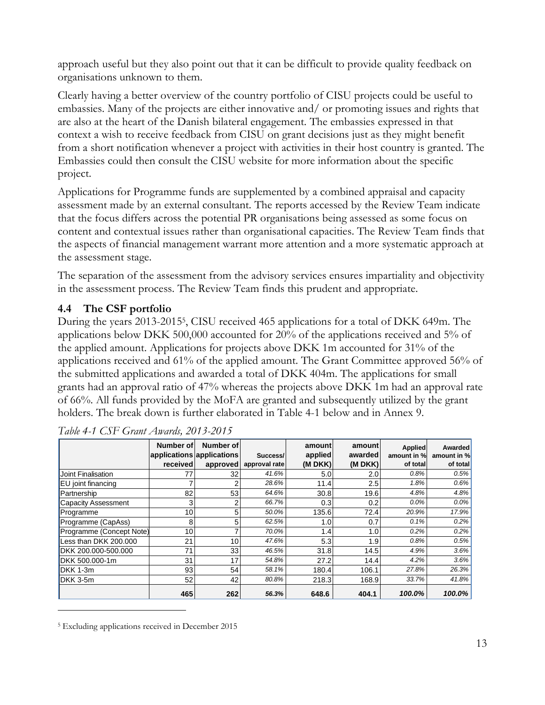approach useful but they also point out that it can be difficult to provide quality feedback on organisations unknown to them.

Clearly having a better overview of the country portfolio of CISU projects could be useful to embassies. Many of the projects are either innovative and/ or promoting issues and rights that are also at the heart of the Danish bilateral engagement. The embassies expressed in that context a wish to receive feedback from CISU on grant decisions just as they might benefit from a short notification whenever a project with activities in their host country is granted. The Embassies could then consult the CISU website for more information about the specific project.

Applications for Programme funds are supplemented by a combined appraisal and capacity assessment made by an external consultant. The reports accessed by the Review Team indicate that the focus differs across the potential PR organisations being assessed as some focus on content and contextual issues rather than organisational capacities. The Review Team finds that the aspects of financial management warrant more attention and a more systematic approach at the assessment stage.

The separation of the assessment from the advisory services ensures impartiality and objectivity in the assessment process. The Review Team finds this prudent and appropriate.

## **4.4 The CSF portfolio**

During the years 2013-2015<sup>5</sup> , CISU received 465 applications for a total of DKK 649m. The applications below DKK 500,000 accounted for 20% of the applications received and 5% of the applied amount. Applications for projects above DKK 1m accounted for 31% of the applications received and 61% of the applied amount. The Grant Committee approved 56% of the submitted applications and awarded a total of DKK 404m. The applications for small grants had an approval ratio of 47% whereas the projects above DKK 1m had an approval rate of 66%. All funds provided by the MoFA are granted and subsequently utilized by the grant holders. The break down is further elaborated in Table 4-1 below and in Annex 9.

|                          | Number of<br>applications applications<br>received | Number of<br>approved | Success/<br>approval rate | amount<br>applied<br>(M DKK) | amount<br>awarded<br>(M DKK) | <b>Applied</b><br>amount in %<br>of total | Awarded<br>amount in %<br>of total |
|--------------------------|----------------------------------------------------|-----------------------|---------------------------|------------------------------|------------------------------|-------------------------------------------|------------------------------------|
| Joint Finalisation       | 77                                                 | 32                    | 41.6%                     | 5.0                          | 2.0                          | 0.8%                                      | 0.5%                               |
| EU joint financing       |                                                    | 2                     | 28.6%                     | 11.4                         | 2.5                          | 1.8%                                      | 0.6%                               |
| Partnership              | 82                                                 | 53                    | 64.6%                     | 30.8                         | 19.6                         | 4.8%                                      | 4.8%                               |
| Capacity Assessment      | 3                                                  | 2                     | 66.7%                     | 0.3                          | 0.2                          | $0.0\%$                                   | 0.0%                               |
| Programme                | 10                                                 | 5                     | 50.0%                     | 135.6                        | 72.4                         | 20.9%                                     | 17.9%                              |
| Programme (CapAss)       | 8                                                  | 5                     | 62.5%                     | 1.0                          | 0.7                          | 0.1%                                      | 0.2%                               |
| Programme (Concept Note) | 10                                                 | 7                     | 70.0%                     | 1.4                          | 1.0                          | 0.2%                                      | 0.2%                               |
| Less than DKK 200.000    | 21                                                 | 10                    | 47.6%                     | 5.3                          | 1.9                          | 0.8%                                      | 0.5%                               |
| DKK 200.000-500.000      | 71                                                 | 33                    | 46.5%                     | 31.8                         | 14.5                         | 4.9%                                      | 3.6%                               |
| DKK 500,000-1m           | 31                                                 | 17                    | 54.8%                     | 27.2                         | 14.4                         | 4.2%                                      | 3.6%                               |
| DKK 1-3m                 | 93                                                 | 54                    | 58.1%                     | 180.4                        | 106.1                        | 27.8%                                     | 26.3%                              |
| DKK 3-5m                 | 52                                                 | 42                    | 80.8%                     | 218.3                        | 168.9                        | 33.7%                                     | 41.8%                              |
|                          | 465                                                | 262                   | 56.3%                     | 648.6                        | 404.1                        | 100.0%                                    | 100.0%                             |

 $\overline{a}$ 

<sup>5</sup> Excluding applications received in December 2015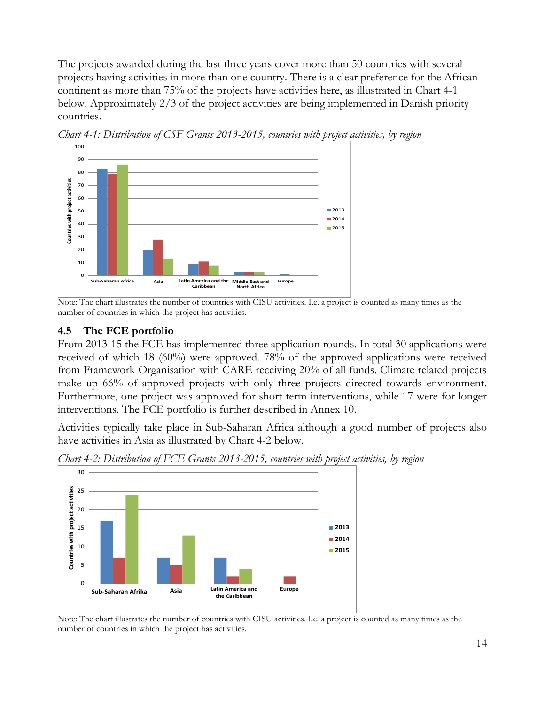The projects awarded during the last three years cover more than 50 countries with several projects having activities in more than one country. There is a clear preference for the African continent as more than 75% of the projects have activities here, as illustrated in Chart 4-1 below. Approximately 2/3 of the project activities are being implemented in Danish priority countries.



*Chart 4-1: Distribution of CSF Grants 2013-2015, countries with project activities, by region* 

Note: The chart illustrates the number of countries with CISU activities. I.e. a project is counted as many times as the number of countries in which the project has activities.

#### **4.5 The FCE portfolio**

From 2013-15 the FCE has implemented three application rounds. In total 30 applications were received of which 18 (60%) were approved. 78% of the approved applications were received from Framework Organisation with CARE receiving 20% of all funds. Climate related projects make up 66% of approved projects with only three projects directed towards environment. Furthermore, one project was approved for short term interventions, while 17 were for longer interventions. The FCE portfolio is further described in Annex 10.

Activities typically take place in Sub-Saharan Africa although a good number of projects also have activities in Asia as illustrated by Chart 4-2 below.



*Chart 4-2: Distribution of FCE Grants 2013-2015, countries with project activities, by region* 

Note: The chart illustrates the number of countries with CISU activities. I.e. a project is counted as many times as the number of countries in which the project has activities.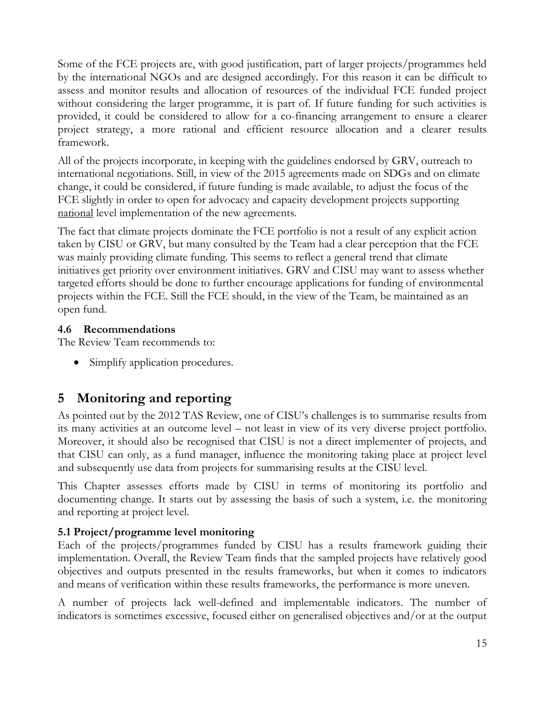Some of the FCE projects are, with good justification, part of larger projects/programmes held by the international NGOs and are designed accordingly. For this reason it can be difficult to assess and monitor results and allocation of resources of the individual FCE funded project without considering the larger programme, it is part of. If future funding for such activities is provided, it could be considered to allow for a co-financing arrangement to ensure a clearer project strategy, a more rational and efficient resource allocation and a clearer results framework.

All of the projects incorporate, in keeping with the guidelines endorsed by GRV, outreach to international negotiations. Still, in view of the 2015 agreements made on SDGs and on climate change, it could be considered, if future funding is made available, to adjust the focus of the FCE slightly in order to open for advocacy and capacity development projects supporting national level implementation of the new agreements.

The fact that climate projects dominate the FCE portfolio is not a result of any explicit action taken by CISU or GRV, but many consulted by the Team had a clear perception that the FCE was mainly providing climate funding. This seems to reflect a general trend that climate initiatives get priority over environment initiatives. GRV and CISU may want to assess whether targeted efforts should be done to further encourage applications for funding of environmental projects within the FCE. Still the FCE should, in the view of the Team, be maintained as an open fund.

#### **4.6 Recommendations**

The Review Team recommends to:

• Simplify application procedures.

# <span id="page-16-0"></span>**5 Monitoring and reporting**

As pointed out by the 2012 TAS Review, one of CISU's challenges is to summarise results from its many activities at an outcome level – not least in view of its very diverse project portfolio. Moreover, it should also be recognised that CISU is not a direct implementer of projects, and that CISU can only, as a fund manager, influence the monitoring taking place at project level and subsequently use data from projects for summarising results at the CISU level.

This Chapter assesses efforts made by CISU in terms of monitoring its portfolio and documenting change. It starts out by assessing the basis of such a system, i.e. the monitoring and reporting at project level.

## **5.1 Project/programme level monitoring**

Each of the projects/programmes funded by CISU has a results framework guiding their implementation. Overall, the Review Team finds that the sampled projects have relatively good objectives and outputs presented in the results frameworks, but when it comes to indicators and means of verification within these results frameworks, the performance is more uneven.

A number of projects lack well-defined and implementable indicators. The number of indicators is sometimes excessive, focused either on generalised objectives and/or at the output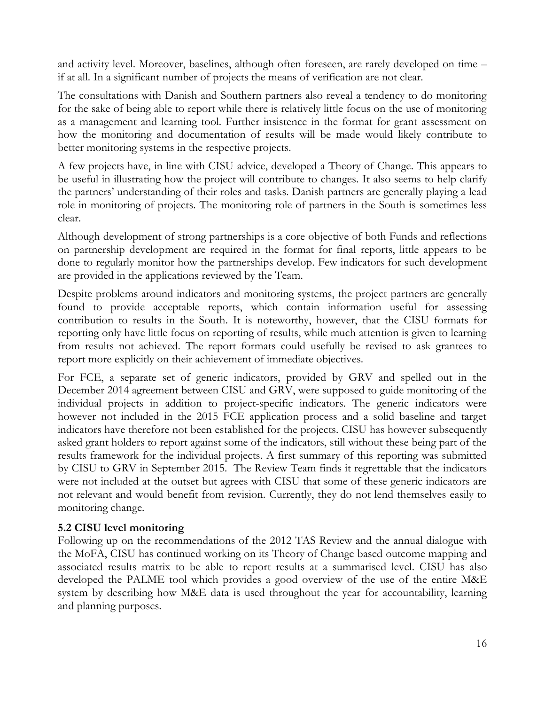and activity level. Moreover, baselines, although often foreseen, are rarely developed on time – if at all. In a significant number of projects the means of verification are not clear.

The consultations with Danish and Southern partners also reveal a tendency to do monitoring for the sake of being able to report while there is relatively little focus on the use of monitoring as a management and learning tool. Further insistence in the format for grant assessment on how the monitoring and documentation of results will be made would likely contribute to better monitoring systems in the respective projects.

A few projects have, in line with CISU advice, developed a Theory of Change. This appears to be useful in illustrating how the project will contribute to changes. It also seems to help clarify the partners' understanding of their roles and tasks. Danish partners are generally playing a lead role in monitoring of projects. The monitoring role of partners in the South is sometimes less clear.

Although development of strong partnerships is a core objective of both Funds and reflections on partnership development are required in the format for final reports, little appears to be done to regularly monitor how the partnerships develop. Few indicators for such development are provided in the applications reviewed by the Team.

Despite problems around indicators and monitoring systems, the project partners are generally found to provide acceptable reports, which contain information useful for assessing contribution to results in the South. It is noteworthy, however, that the CISU formats for reporting only have little focus on reporting of results, while much attention is given to learning from results not achieved. The report formats could usefully be revised to ask grantees to report more explicitly on their achievement of immediate objectives.

For FCE, a separate set of generic indicators, provided by GRV and spelled out in the December 2014 agreement between CISU and GRV, were supposed to guide monitoring of the individual projects in addition to project-specific indicators. The generic indicators were however not included in the 2015 FCE application process and a solid baseline and target indicators have therefore not been established for the projects. CISU has however subsequently asked grant holders to report against some of the indicators, still without these being part of the results framework for the individual projects. A first summary of this reporting was submitted by CISU to GRV in September 2015. The Review Team finds it regrettable that the indicators were not included at the outset but agrees with CISU that some of these generic indicators are not relevant and would benefit from revision. Currently, they do not lend themselves easily to monitoring change.

#### **5.2 CISU level monitoring**

Following up on the recommendations of the 2012 TAS Review and the annual dialogue with the MoFA, CISU has continued working on its Theory of Change based outcome mapping and associated results matrix to be able to report results at a summarised level. CISU has also developed the PALME tool which provides a good overview of the use of the entire M&E system by describing how M&E data is used throughout the year for accountability, learning and planning purposes.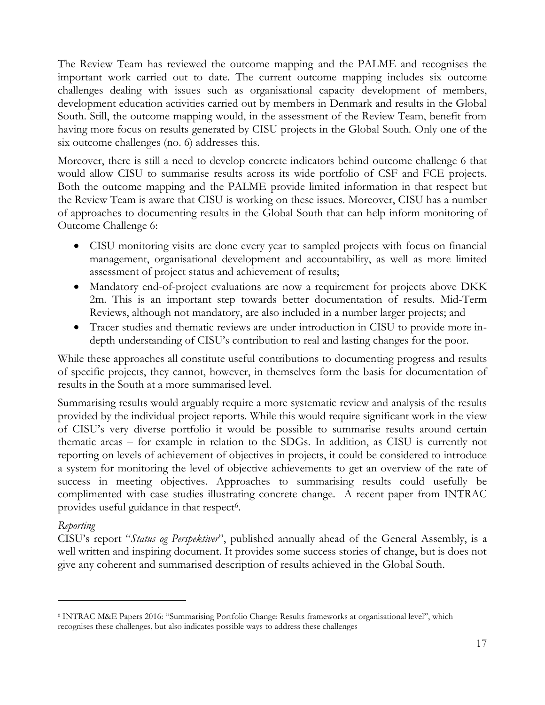The Review Team has reviewed the outcome mapping and the PALME and recognises the important work carried out to date. The current outcome mapping includes six outcome challenges dealing with issues such as organisational capacity development of members, development education activities carried out by members in Denmark and results in the Global South. Still, the outcome mapping would, in the assessment of the Review Team, benefit from having more focus on results generated by CISU projects in the Global South. Only one of the six outcome challenges (no. 6) addresses this.

Moreover, there is still a need to develop concrete indicators behind outcome challenge 6 that would allow CISU to summarise results across its wide portfolio of CSF and FCE projects. Both the outcome mapping and the PALME provide limited information in that respect but the Review Team is aware that CISU is working on these issues. Moreover, CISU has a number of approaches to documenting results in the Global South that can help inform monitoring of Outcome Challenge 6:

- CISU monitoring visits are done every year to sampled projects with focus on financial management, organisational development and accountability, as well as more limited assessment of project status and achievement of results;
- Mandatory end-of-project evaluations are now a requirement for projects above DKK 2m. This is an important step towards better documentation of results. Mid-Term Reviews, although not mandatory, are also included in a number larger projects; and
- Tracer studies and thematic reviews are under introduction in CISU to provide more indepth understanding of CISU's contribution to real and lasting changes for the poor.

While these approaches all constitute useful contributions to documenting progress and results of specific projects, they cannot, however, in themselves form the basis for documentation of results in the South at a more summarised level.

Summarising results would arguably require a more systematic review and analysis of the results provided by the individual project reports. While this would require significant work in the view of CISU's very diverse portfolio it would be possible to summarise results around certain thematic areas – for example in relation to the SDGs. In addition, as CISU is currently not reporting on levels of achievement of objectives in projects, it could be considered to introduce a system for monitoring the level of objective achievements to get an overview of the rate of success in meeting objectives. Approaches to summarising results could usefully be complimented with case studies illustrating concrete change. A recent paper from INTRAC provides useful guidance in that respect<sup>6</sup>.

#### *Reporting*

 $\overline{a}$ 

CISU's report "*Status og Perspektiver*", published annually ahead of the General Assembly, is a well written and inspiring document. It provides some success stories of change, but is does not give any coherent and summarised description of results achieved in the Global South.

<sup>6</sup> INTRAC M&E Papers 2016: "Summarising Portfolio Change: Results frameworks at organisational level", which recognises these challenges, but also indicates possible ways to address these challenges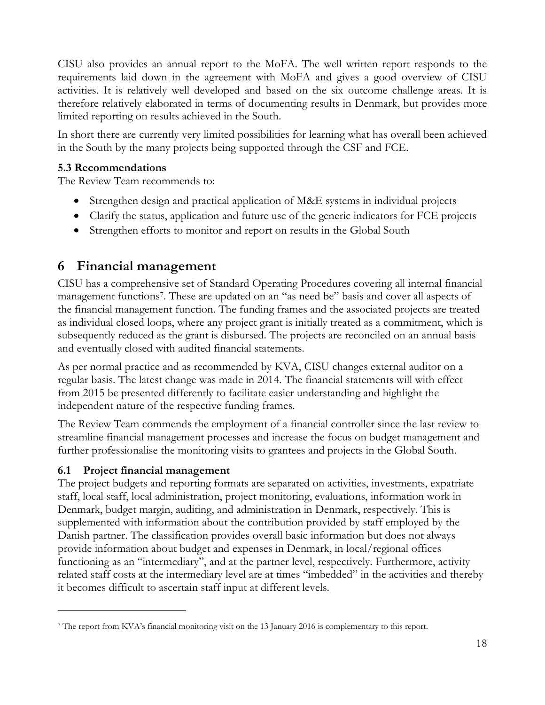CISU also provides an annual report to the MoFA. The well written report responds to the requirements laid down in the agreement with MoFA and gives a good overview of CISU activities. It is relatively well developed and based on the six outcome challenge areas. It is therefore relatively elaborated in terms of documenting results in Denmark, but provides more limited reporting on results achieved in the South.

In short there are currently very limited possibilities for learning what has overall been achieved in the South by the many projects being supported through the CSF and FCE.

#### **5.3 Recommendations**

The Review Team recommends to:

- Strengthen design and practical application of M&E systems in individual projects
- Clarify the status, application and future use of the generic indicators for FCE projects
- Strengthen efforts to monitor and report on results in the Global South

# <span id="page-19-0"></span>**6 Financial management**

CISU has a comprehensive set of Standard Operating Procedures covering all internal financial management functions<sup>7</sup> . These are updated on an "as need be" basis and cover all aspects of the financial management function. The funding frames and the associated projects are treated as individual closed loops, where any project grant is initially treated as a commitment, which is subsequently reduced as the grant is disbursed. The projects are reconciled on an annual basis and eventually closed with audited financial statements.

As per normal practice and as recommended by KVA, CISU changes external auditor on a regular basis. The latest change was made in 2014. The financial statements will with effect from 2015 be presented differently to facilitate easier understanding and highlight the independent nature of the respective funding frames.

The Review Team commends the employment of a financial controller since the last review to streamline financial management processes and increase the focus on budget management and further professionalise the monitoring visits to grantees and projects in the Global South.

## **6.1 Project financial management**

 $\overline{a}$ 

The project budgets and reporting formats are separated on activities, investments, expatriate staff, local staff, local administration, project monitoring, evaluations, information work in Denmark, budget margin, auditing, and administration in Denmark, respectively. This is supplemented with information about the contribution provided by staff employed by the Danish partner. The classification provides overall basic information but does not always provide information about budget and expenses in Denmark, in local/regional offices functioning as an "intermediary", and at the partner level, respectively. Furthermore, activity related staff costs at the intermediary level are at times "imbedded" in the activities and thereby it becomes difficult to ascertain staff input at different levels.

<sup>7</sup> The report from KVA's financial monitoring visit on the 13 January 2016 is complementary to this report.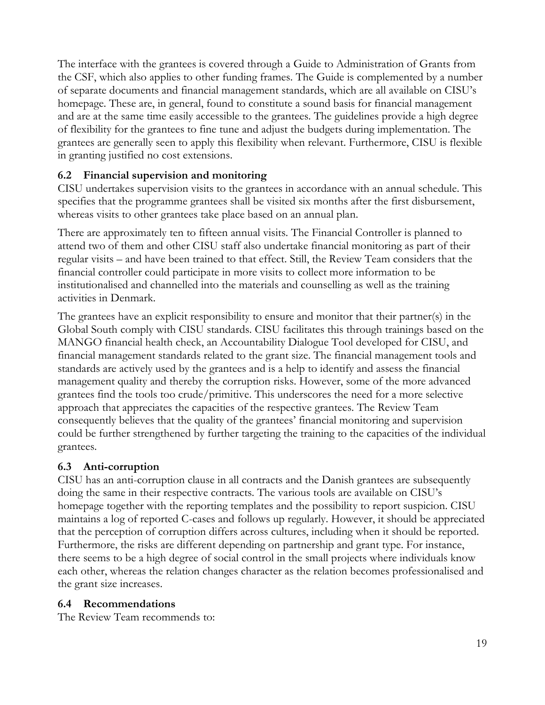The interface with the grantees is covered through a Guide to Administration of Grants from the CSF, which also applies to other funding frames. The Guide is complemented by a number of separate documents and financial management standards, which are all available on CISU's homepage. These are, in general, found to constitute a sound basis for financial management and are at the same time easily accessible to the grantees. The guidelines provide a high degree of flexibility for the grantees to fine tune and adjust the budgets during implementation. The grantees are generally seen to apply this flexibility when relevant. Furthermore, CISU is flexible in granting justified no cost extensions.

## **6.2 Financial supervision and monitoring**

CISU undertakes supervision visits to the grantees in accordance with an annual schedule. This specifies that the programme grantees shall be visited six months after the first disbursement, whereas visits to other grantees take place based on an annual plan.

There are approximately ten to fifteen annual visits. The Financial Controller is planned to attend two of them and other CISU staff also undertake financial monitoring as part of their regular visits – and have been trained to that effect. Still, the Review Team considers that the financial controller could participate in more visits to collect more information to be institutionalised and channelled into the materials and counselling as well as the training activities in Denmark.

The grantees have an explicit responsibility to ensure and monitor that their partner(s) in the Global South comply with CISU standards. CISU facilitates this through trainings based on the MANGO financial health check, an Accountability Dialogue Tool developed for CISU, and financial management standards related to the grant size. The financial management tools and standards are actively used by the grantees and is a help to identify and assess the financial management quality and thereby the corruption risks. However, some of the more advanced grantees find the tools too crude/primitive. This underscores the need for a more selective approach that appreciates the capacities of the respective grantees. The Review Team consequently believes that the quality of the grantees' financial monitoring and supervision could be further strengthened by further targeting the training to the capacities of the individual grantees.

## **6.3 Anti-corruption**

CISU has an anti-corruption clause in all contracts and the Danish grantees are subsequently doing the same in their respective contracts. The various tools are available on CISU's homepage together with the reporting templates and the possibility to report suspicion. CISU maintains a log of reported C-cases and follows up regularly. However, it should be appreciated that the perception of corruption differs across cultures, including when it should be reported. Furthermore, the risks are different depending on partnership and grant type. For instance, there seems to be a high degree of social control in the small projects where individuals know each other, whereas the relation changes character as the relation becomes professionalised and the grant size increases.

#### **6.4 Recommendations**

The Review Team recommends to: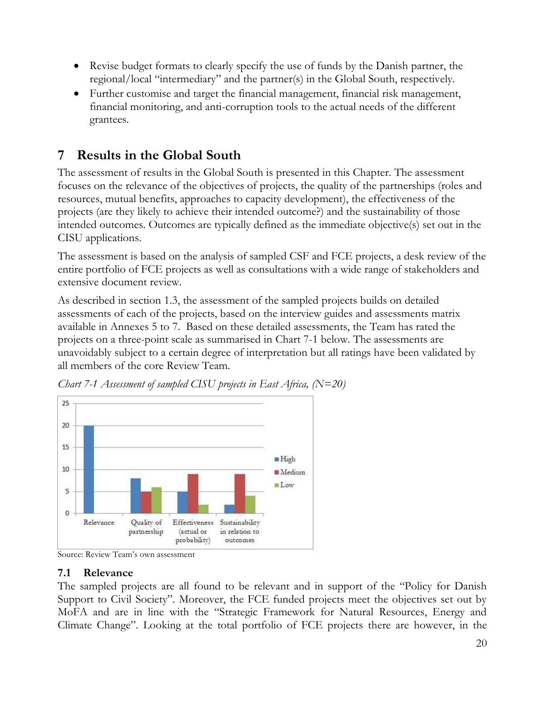- Revise budget formats to clearly specify the use of funds by the Danish partner, the regional/local "intermediary" and the partner(s) in the Global South, respectively.
- Further customise and target the financial management, financial risk management, financial monitoring, and anti-corruption tools to the actual needs of the different grantees.

# <span id="page-21-0"></span>**7 Results in the Global South**

The assessment of results in the Global South is presented in this Chapter. The assessment focuses on the relevance of the objectives of projects, the quality of the partnerships (roles and resources, mutual benefits, approaches to capacity development), the effectiveness of the projects (are they likely to achieve their intended outcome?) and the sustainability of those intended outcomes. Outcomes are typically defined as the immediate objective(s) set out in the CISU applications.

The assessment is based on the analysis of sampled CSF and FCE projects, a desk review of the entire portfolio of FCE projects as well as consultations with a wide range of stakeholders and extensive document review.

As described in section 1.3, the assessment of the sampled projects builds on detailed assessments of each of the projects, based on the interview guides and assessments matrix available in Annexes 5 to 7. Based on these detailed assessments, the Team has rated the projects on a three-point scale as summarised in Chart 7-1 below. The assessments are unavoidably subject to a certain degree of interpretation but all ratings have been validated by all members of the core Review Team.



*Chart 7-1 Assessment of sampled CISU projects in East Africa, (N=20)* 

Source: Review Team's own assessment

#### **7.1 Relevance**

The sampled projects are all found to be relevant and in support of the "Policy for Danish Support to Civil Society". Moreover, the FCE funded projects meet the objectives set out by MoFA and are in line with the "Strategic Framework for Natural Resources, Energy and Climate Change". Looking at the total portfolio of FCE projects there are however, in the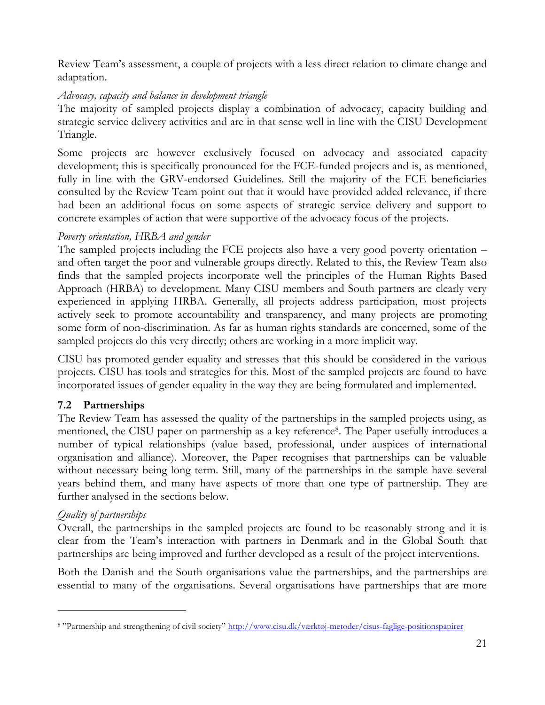Review Team's assessment, a couple of projects with a less direct relation to climate change and adaptation.

#### *Advocacy, capacity and balance in development triangle*

The majority of sampled projects display a combination of advocacy, capacity building and strategic service delivery activities and are in that sense well in line with the CISU Development Triangle.

Some projects are however exclusively focused on advocacy and associated capacity development; this is specifically pronounced for the FCE-funded projects and is, as mentioned, fully in line with the GRV-endorsed Guidelines. Still the majority of the FCE beneficiaries consulted by the Review Team point out that it would have provided added relevance, if there had been an additional focus on some aspects of strategic service delivery and support to concrete examples of action that were supportive of the advocacy focus of the projects.

#### *Poverty orientation, HRBA and gender*

The sampled projects including the FCE projects also have a very good poverty orientation – and often target the poor and vulnerable groups directly. Related to this, the Review Team also finds that the sampled projects incorporate well the principles of the Human Rights Based Approach (HRBA) to development. Many CISU members and South partners are clearly very experienced in applying HRBA. Generally, all projects address participation, most projects actively seek to promote accountability and transparency, and many projects are promoting some form of non-discrimination. As far as human rights standards are concerned, some of the sampled projects do this very directly; others are working in a more implicit way.

CISU has promoted gender equality and stresses that this should be considered in the various projects. CISU has tools and strategies for this. Most of the sampled projects are found to have incorporated issues of gender equality in the way they are being formulated and implemented.

## **7.2 Partnerships**

The Review Team has assessed the quality of the partnerships in the sampled projects using, as mentioned, the CISU paper on partnership as a key reference<sup>8</sup>. The Paper usefully introduces a number of typical relationships (value based, professional, under auspices of international organisation and alliance). Moreover, the Paper recognises that partnerships can be valuable without necessary being long term. Still, many of the partnerships in the sample have several years behind them, and many have aspects of more than one type of partnership. They are further analysed in the sections below.

## *Quality of partnerships*

 $\overline{a}$ 

Overall, the partnerships in the sampled projects are found to be reasonably strong and it is clear from the Team's interaction with partners in Denmark and in the Global South that partnerships are being improved and further developed as a result of the project interventions.

Both the Danish and the South organisations value the partnerships, and the partnerships are essential to many of the organisations. Several organisations have partnerships that are more

<sup>&</sup>lt;sup>8</sup> "Partnership and strengthening of civil society" <http://www.cisu.dk/værktøj-metoder/cisus-faglige-positionspapirer>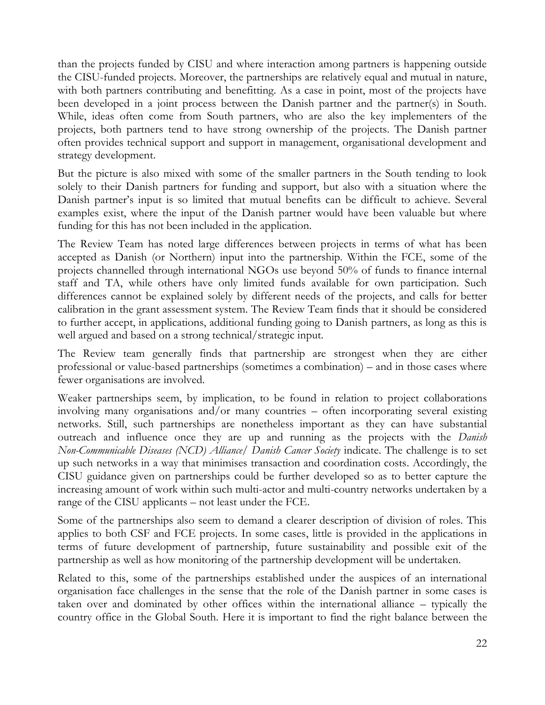than the projects funded by CISU and where interaction among partners is happening outside the CISU-funded projects. Moreover, the partnerships are relatively equal and mutual in nature, with both partners contributing and benefitting. As a case in point, most of the projects have been developed in a joint process between the Danish partner and the partner(s) in South. While, ideas often come from South partners, who are also the key implementers of the projects, both partners tend to have strong ownership of the projects. The Danish partner often provides technical support and support in management, organisational development and strategy development.

But the picture is also mixed with some of the smaller partners in the South tending to look solely to their Danish partners for funding and support, but also with a situation where the Danish partner's input is so limited that mutual benefits can be difficult to achieve. Several examples exist, where the input of the Danish partner would have been valuable but where funding for this has not been included in the application.

The Review Team has noted large differences between projects in terms of what has been accepted as Danish (or Northern) input into the partnership. Within the FCE, some of the projects channelled through international NGOs use beyond 50% of funds to finance internal staff and TA, while others have only limited funds available for own participation. Such differences cannot be explained solely by different needs of the projects, and calls for better calibration in the grant assessment system. The Review Team finds that it should be considered to further accept, in applications, additional funding going to Danish partners, as long as this is well argued and based on a strong technical/strategic input.

The Review team generally finds that partnership are strongest when they are either professional or value-based partnerships (sometimes a combination) – and in those cases where fewer organisations are involved.

Weaker partnerships seem, by implication, to be found in relation to project collaborations involving many organisations and/or many countries – often incorporating several existing networks. Still, such partnerships are nonetheless important as they can have substantial outreach and influence once they are up and running as the projects with the *Danish Non-Communicable Diseases (NCD) Alliance/ Danish Cancer Society* indicate. The challenge is to set up such networks in a way that minimises transaction and coordination costs. Accordingly, the CISU guidance given on partnerships could be further developed so as to better capture the increasing amount of work within such multi-actor and multi-country networks undertaken by a range of the CISU applicants – not least under the FCE.

Some of the partnerships also seem to demand a clearer description of division of roles. This applies to both CSF and FCE projects. In some cases, little is provided in the applications in terms of future development of partnership, future sustainability and possible exit of the partnership as well as how monitoring of the partnership development will be undertaken.

Related to this, some of the partnerships established under the auspices of an international organisation face challenges in the sense that the role of the Danish partner in some cases is taken over and dominated by other offices within the international alliance – typically the country office in the Global South. Here it is important to find the right balance between the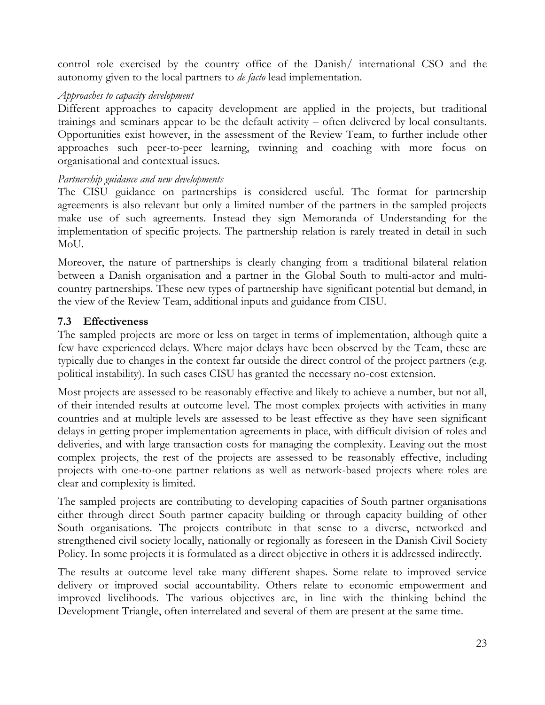control role exercised by the country office of the Danish/ international CSO and the autonomy given to the local partners to *de facto* lead implementation.

#### *Approaches to capacity development*

Different approaches to capacity development are applied in the projects, but traditional trainings and seminars appear to be the default activity – often delivered by local consultants. Opportunities exist however, in the assessment of the Review Team, to further include other approaches such peer-to-peer learning, twinning and coaching with more focus on organisational and contextual issues.

#### *Partnership guidance and new developments*

The CISU guidance on partnerships is considered useful. The format for partnership agreements is also relevant but only a limited number of the partners in the sampled projects make use of such agreements. Instead they sign Memoranda of Understanding for the implementation of specific projects. The partnership relation is rarely treated in detail in such MoU.

Moreover, the nature of partnerships is clearly changing from a traditional bilateral relation between a Danish organisation and a partner in the Global South to multi-actor and multicountry partnerships. These new types of partnership have significant potential but demand, in the view of the Review Team, additional inputs and guidance from CISU.

#### **7.3 Effectiveness**

The sampled projects are more or less on target in terms of implementation, although quite a few have experienced delays. Where major delays have been observed by the Team, these are typically due to changes in the context far outside the direct control of the project partners (e.g. political instability). In such cases CISU has granted the necessary no-cost extension.

Most projects are assessed to be reasonably effective and likely to achieve a number, but not all, of their intended results at outcome level. The most complex projects with activities in many countries and at multiple levels are assessed to be least effective as they have seen significant delays in getting proper implementation agreements in place, with difficult division of roles and deliveries, and with large transaction costs for managing the complexity. Leaving out the most complex projects, the rest of the projects are assessed to be reasonably effective, including projects with one-to-one partner relations as well as network-based projects where roles are clear and complexity is limited.

The sampled projects are contributing to developing capacities of South partner organisations either through direct South partner capacity building or through capacity building of other South organisations. The projects contribute in that sense to a diverse, networked and strengthened civil society locally, nationally or regionally as foreseen in the Danish Civil Society Policy. In some projects it is formulated as a direct objective in others it is addressed indirectly.

The results at outcome level take many different shapes. Some relate to improved service delivery or improved social accountability. Others relate to economic empowerment and improved livelihoods. The various objectives are, in line with the thinking behind the Development Triangle, often interrelated and several of them are present at the same time.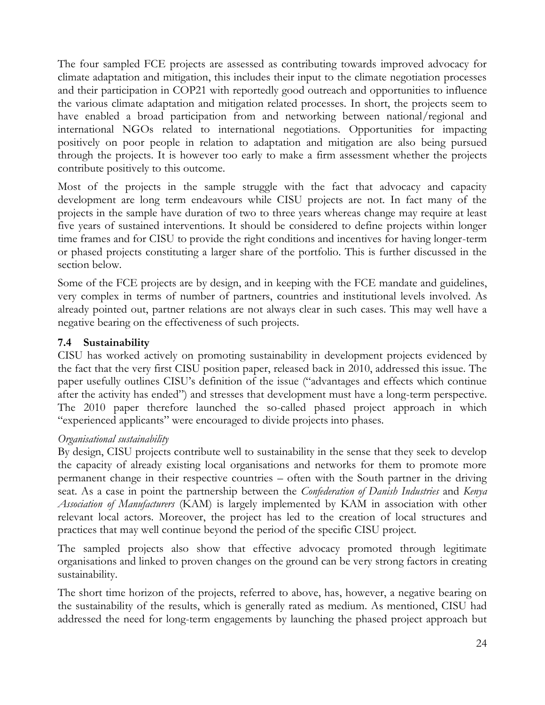The four sampled FCE projects are assessed as contributing towards improved advocacy for climate adaptation and mitigation, this includes their input to the climate negotiation processes and their participation in COP21 with reportedly good outreach and opportunities to influence the various climate adaptation and mitigation related processes. In short, the projects seem to have enabled a broad participation from and networking between national/regional and international NGOs related to international negotiations. Opportunities for impacting positively on poor people in relation to adaptation and mitigation are also being pursued through the projects. It is however too early to make a firm assessment whether the projects contribute positively to this outcome.

Most of the projects in the sample struggle with the fact that advocacy and capacity development are long term endeavours while CISU projects are not. In fact many of the projects in the sample have duration of two to three years whereas change may require at least five years of sustained interventions. It should be considered to define projects within longer time frames and for CISU to provide the right conditions and incentives for having longer-term or phased projects constituting a larger share of the portfolio. This is further discussed in the section below.

Some of the FCE projects are by design, and in keeping with the FCE mandate and guidelines, very complex in terms of number of partners, countries and institutional levels involved. As already pointed out, partner relations are not always clear in such cases. This may well have a negative bearing on the effectiveness of such projects.

#### **7.4 Sustainability**

CISU has worked actively on promoting sustainability in development projects evidenced by the fact that the very first CISU position paper, released back in 2010, addressed this issue. The paper usefully outlines CISU's definition of the issue ("advantages and effects which continue after the activity has ended") and stresses that development must have a long-term perspective. The 2010 paper therefore launched the so-called phased project approach in which "experienced applicants" were encouraged to divide projects into phases.

#### *Organisational sustainability*

By design, CISU projects contribute well to sustainability in the sense that they seek to develop the capacity of already existing local organisations and networks for them to promote more permanent change in their respective countries – often with the South partner in the driving seat. As a case in point the partnership between the *Confederation of Danish Industries* and *Kenya Association of Manufacturers* (KAM) is largely implemented by KAM in association with other relevant local actors. Moreover, the project has led to the creation of local structures and practices that may well continue beyond the period of the specific CISU project.

The sampled projects also show that effective advocacy promoted through legitimate organisations and linked to proven changes on the ground can be very strong factors in creating sustainability.

The short time horizon of the projects, referred to above, has, however, a negative bearing on the sustainability of the results, which is generally rated as medium. As mentioned, CISU had addressed the need for long-term engagements by launching the phased project approach but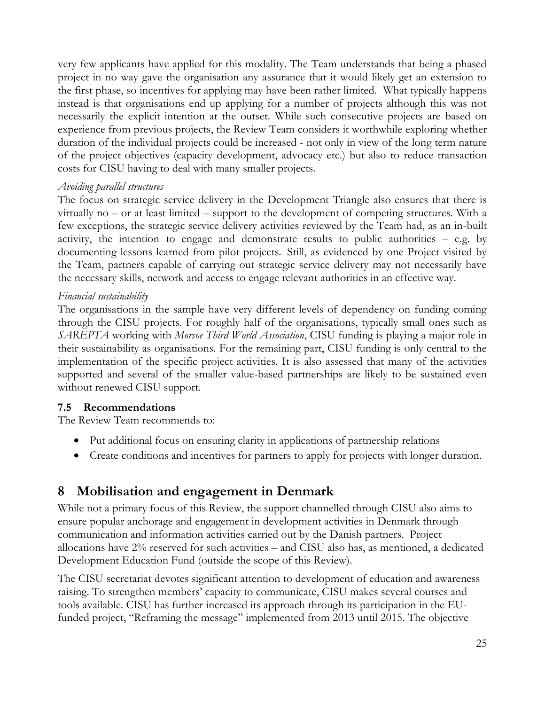very few applicants have applied for this modality. The Team understands that being a phased project in no way gave the organisation any assurance that it would likely get an extension to the first phase, so incentives for applying may have been rather limited. What typically happens instead is that organisations end up applying for a number of projects although this was not necessarily the explicit intention at the outset. While such consecutive projects are based on experience from previous projects, the Review Team considers it worthwhile exploring whether duration of the individual projects could be increased - not only in view of the long term nature of the project objectives (capacity development, advocacy etc.) but also to reduce transaction costs for CISU having to deal with many smaller projects.

#### *Avoiding parallel structures*

The focus on strategic service delivery in the Development Triangle also ensures that there is virtually no – or at least limited – support to the development of competing structures. With a few exceptions, the strategic service delivery activities reviewed by the Team had, as an in-built activity, the intention to engage and demonstrate results to public authorities – e.g. by documenting lessons learned from pilot projects. Still, as evidenced by one Project visited by the Team, partners capable of carrying out strategic service delivery may not necessarily have the necessary skills, network and access to engage relevant authorities in an effective way.

#### *Financial sustainability*

The organisations in the sample have very different levels of dependency on funding coming through the CISU projects. For roughly half of the organisations, typically small ones such as *SAREPTA* working with *Morsoe Third World Association*, CISU funding is playing a major role in their sustainability as organisations. For the remaining part, CISU funding is only central to the implementation of the specific project activities. It is also assessed that many of the activities supported and several of the smaller value-based partnerships are likely to be sustained even without renewed CISU support.

#### **7.5 Recommendations**

The Review Team recommends to:

- Put additional focus on ensuring clarity in applications of partnership relations
- Create conditions and incentives for partners to apply for projects with longer duration.

## <span id="page-26-0"></span>**8 Mobilisation and engagement in Denmark**

While not a primary focus of this Review, the support channelled through CISU also aims to ensure popular anchorage and engagement in development activities in Denmark through communication and information activities carried out by the Danish partners. Project allocations have 2% reserved for such activities – and CISU also has, as mentioned, a dedicated Development Education Fund (outside the scope of this Review).

The CISU secretariat devotes significant attention to development of education and awareness raising. To strengthen members' capacity to communicate, CISU makes several courses and tools available. CISU has further increased its approach through its participation in the EUfunded project, "Reframing the message" implemented from 2013 until 2015. The objective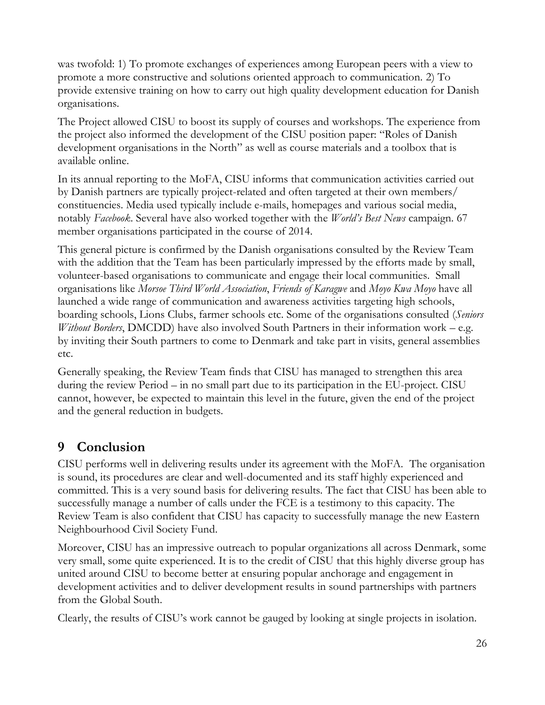was twofold: 1) To promote exchanges of experiences among European peers with a view to promote a more constructive and solutions oriented approach to communication. 2) To provide extensive training on how to carry out high quality development education for Danish organisations.

The Project allowed CISU to boost its supply of courses and workshops. The experience from the project also informed the development of the CISU position paper: "Roles of Danish development organisations in the North" as well as course materials and a toolbox that is available online.

In its annual reporting to the MoFA, CISU informs that communication activities carried out by Danish partners are typically project-related and often targeted at their own members/ constituencies. Media used typically include e-mails, homepages and various social media, notably *Facebook*. Several have also worked together with the *World's Best News* campaign. 67 member organisations participated in the course of 2014.

This general picture is confirmed by the Danish organisations consulted by the Review Team with the addition that the Team has been particularly impressed by the efforts made by small, volunteer-based organisations to communicate and engage their local communities. Small organisations like *Morsoe Third World Association*, *Friends of Karagwe* and *Moyo Kwa Moyo* have all launched a wide range of communication and awareness activities targeting high schools, boarding schools, Lions Clubs, farmer schools etc. Some of the organisations consulted (*Seniors Without Borders*, DMCDD) have also involved South Partners in their information work – e.g. by inviting their South partners to come to Denmark and take part in visits, general assemblies etc.

Generally speaking, the Review Team finds that CISU has managed to strengthen this area during the review Period – in no small part due to its participation in the EU-project. CISU cannot, however, be expected to maintain this level in the future, given the end of the project and the general reduction in budgets.

# <span id="page-27-0"></span>**9 Conclusion**

CISU performs well in delivering results under its agreement with the MoFA. The organisation is sound, its procedures are clear and well-documented and its staff highly experienced and committed. This is a very sound basis for delivering results. The fact that CISU has been able to successfully manage a number of calls under the FCE is a testimony to this capacity. The Review Team is also confident that CISU has capacity to successfully manage the new Eastern Neighbourhood Civil Society Fund.

Moreover, CISU has an impressive outreach to popular organizations all across Denmark, some very small, some quite experienced. It is to the credit of CISU that this highly diverse group has united around CISU to become better at ensuring popular anchorage and engagement in development activities and to deliver development results in sound partnerships with partners from the Global South.

Clearly, the results of CISU's work cannot be gauged by looking at single projects in isolation.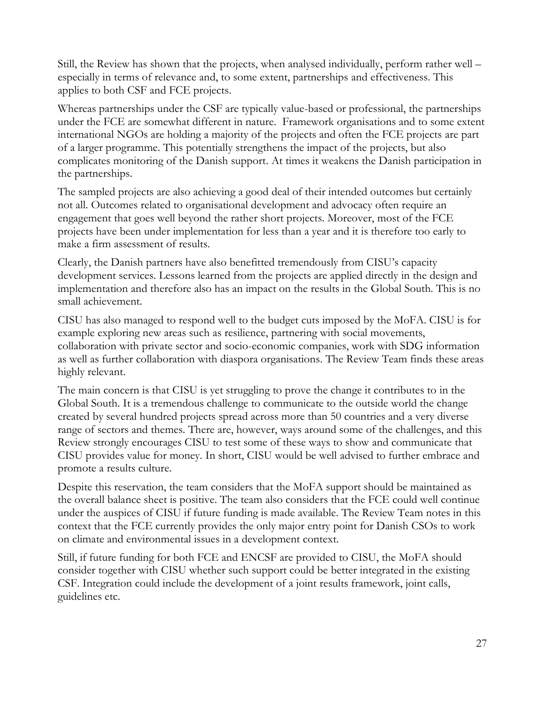Still, the Review has shown that the projects, when analysed individually, perform rather well – especially in terms of relevance and, to some extent, partnerships and effectiveness. This applies to both CSF and FCE projects.

Whereas partnerships under the CSF are typically value-based or professional, the partnerships under the FCE are somewhat different in nature. Framework organisations and to some extent international NGOs are holding a majority of the projects and often the FCE projects are part of a larger programme. This potentially strengthens the impact of the projects, but also complicates monitoring of the Danish support. At times it weakens the Danish participation in the partnerships.

The sampled projects are also achieving a good deal of their intended outcomes but certainly not all. Outcomes related to organisational development and advocacy often require an engagement that goes well beyond the rather short projects. Moreover, most of the FCE projects have been under implementation for less than a year and it is therefore too early to make a firm assessment of results.

Clearly, the Danish partners have also benefitted tremendously from CISU's capacity development services. Lessons learned from the projects are applied directly in the design and implementation and therefore also has an impact on the results in the Global South. This is no small achievement.

CISU has also managed to respond well to the budget cuts imposed by the MoFA. CISU is for example exploring new areas such as resilience, partnering with social movements, collaboration with private sector and socio-economic companies, work with SDG information as well as further collaboration with diaspora organisations. The Review Team finds these areas highly relevant.

The main concern is that CISU is yet struggling to prove the change it contributes to in the Global South. It is a tremendous challenge to communicate to the outside world the change created by several hundred projects spread across more than 50 countries and a very diverse range of sectors and themes. There are, however, ways around some of the challenges, and this Review strongly encourages CISU to test some of these ways to show and communicate that CISU provides value for money. In short, CISU would be well advised to further embrace and promote a results culture.

Despite this reservation, the team considers that the MoFA support should be maintained as the overall balance sheet is positive. The team also considers that the FCE could well continue under the auspices of CISU if future funding is made available. The Review Team notes in this context that the FCE currently provides the only major entry point for Danish CSOs to work on climate and environmental issues in a development context.

Still, if future funding for both FCE and ENCSF are provided to CISU, the MoFA should consider together with CISU whether such support could be better integrated in the existing CSF. Integration could include the development of a joint results framework, joint calls, guidelines etc.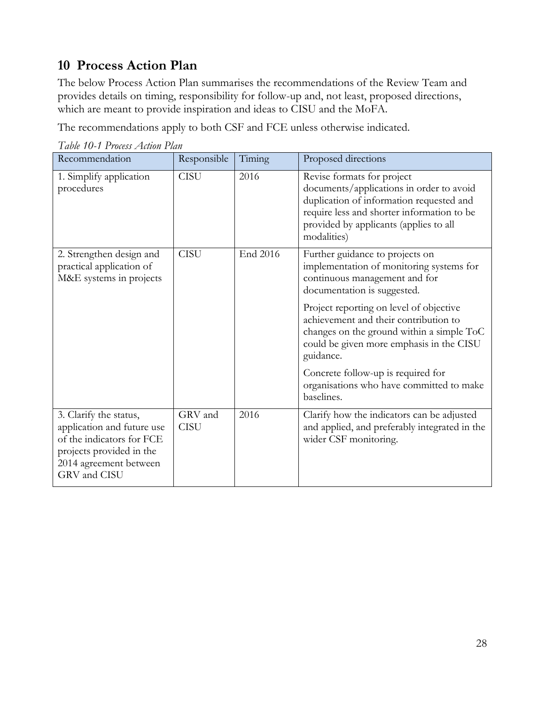# <span id="page-29-0"></span>**10 Process Action Plan**

The below Process Action Plan summarises the recommendations of the Review Team and provides details on timing, responsibility for follow-up and, not least, proposed directions, which are meant to provide inspiration and ideas to CISU and the MoFA.

The recommendations apply to both CSF and FCE unless otherwise indicated.

| Recommendation                                                                                                                                          | Responsible            | Timing   | Proposed directions                                                                                                                                                                                                       |
|---------------------------------------------------------------------------------------------------------------------------------------------------------|------------------------|----------|---------------------------------------------------------------------------------------------------------------------------------------------------------------------------------------------------------------------------|
| 1. Simplify application<br>procedures                                                                                                                   | <b>CISU</b>            | 2016     | Revise formats for project<br>documents/applications in order to avoid<br>duplication of information requested and<br>require less and shorter information to be<br>provided by applicants (applies to all<br>modalities) |
| 2. Strengthen design and<br>practical application of<br>M&E systems in projects                                                                         | <b>CISU</b>            | End 2016 | Further guidance to projects on<br>implementation of monitoring systems for<br>continuous management and for<br>documentation is suggested.                                                                               |
|                                                                                                                                                         |                        |          | Project reporting on level of objective<br>achievement and their contribution to<br>changes on the ground within a simple ToC<br>could be given more emphasis in the CISU<br>guidance.                                    |
|                                                                                                                                                         |                        |          | Concrete follow-up is required for<br>organisations who have committed to make<br>baselines.                                                                                                                              |
| 3. Clarify the status,<br>application and future use<br>of the indicators for FCE<br>projects provided in the<br>2014 agreement between<br>GRV and CISU | GRV and<br><b>CISU</b> | 2016     | Clarify how the indicators can be adjusted<br>and applied, and preferably integrated in the<br>wider CSF monitoring.                                                                                                      |

*Table 10-1 Process Action Plan*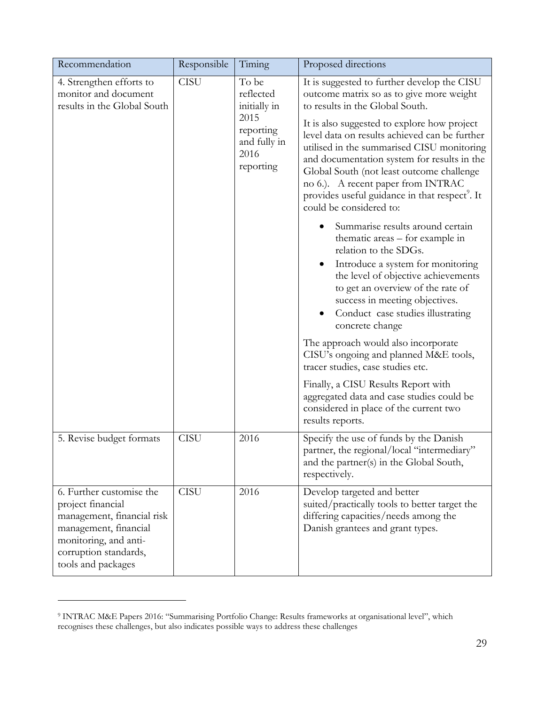| Recommendation                                                                                                                                                               | Responsible | Timing                                                                                       | Proposed directions                                                                                                                                                                                                                                                                                                                                                                                                                                                                                                                                                                                                                                                                                                                                                                                                                                                                                                                                                                                                                                                                   |
|------------------------------------------------------------------------------------------------------------------------------------------------------------------------------|-------------|----------------------------------------------------------------------------------------------|---------------------------------------------------------------------------------------------------------------------------------------------------------------------------------------------------------------------------------------------------------------------------------------------------------------------------------------------------------------------------------------------------------------------------------------------------------------------------------------------------------------------------------------------------------------------------------------------------------------------------------------------------------------------------------------------------------------------------------------------------------------------------------------------------------------------------------------------------------------------------------------------------------------------------------------------------------------------------------------------------------------------------------------------------------------------------------------|
| 4. Strengthen efforts to<br>monitor and document<br>results in the Global South                                                                                              | <b>CISU</b> | To be<br>reflected<br>initially in<br>2015<br>reporting<br>and fully in<br>2016<br>reporting | It is suggested to further develop the CISU<br>outcome matrix so as to give more weight<br>to results in the Global South.<br>It is also suggested to explore how project<br>level data on results achieved can be further<br>utilised in the summarised CISU monitoring<br>and documentation system for results in the<br>Global South (not least outcome challenge<br>no 6.). A recent paper from INTRAC<br>provides useful guidance in that respect <sup>9</sup> . It<br>could be considered to:<br>Summarise results around certain<br>thematic areas - for example in<br>relation to the SDGs.<br>Introduce a system for monitoring<br>the level of objective achievements<br>to get an overview of the rate of<br>success in meeting objectives.<br>Conduct case studies illustrating<br>concrete change<br>The approach would also incorporate<br>CISU's ongoing and planned M&E tools,<br>tracer studies, case studies etc.<br>Finally, a CISU Results Report with<br>aggregated data and case studies could be<br>considered in place of the current two<br>results reports. |
| 5. Revise budget formats                                                                                                                                                     | <b>CISU</b> | 2016                                                                                         | Specify the use of funds by the Danish<br>partner, the regional/local "intermediary"<br>and the partner(s) in the Global South,<br>respectively.                                                                                                                                                                                                                                                                                                                                                                                                                                                                                                                                                                                                                                                                                                                                                                                                                                                                                                                                      |
| 6. Further customise the<br>project financial<br>management, financial risk<br>management, financial<br>monitoring, and anti-<br>corruption standards,<br>tools and packages | <b>CISU</b> | 2016                                                                                         | Develop targeted and better<br>suited/practically tools to better target the<br>differing capacities/needs among the<br>Danish grantees and grant types.                                                                                                                                                                                                                                                                                                                                                                                                                                                                                                                                                                                                                                                                                                                                                                                                                                                                                                                              |

<sup>9</sup> INTRAC M&E Papers 2016: "Summarising Portfolio Change: Results frameworks at organisational level", which recognises these challenges, but also indicates possible ways to address these challenges

 $\overline{a}$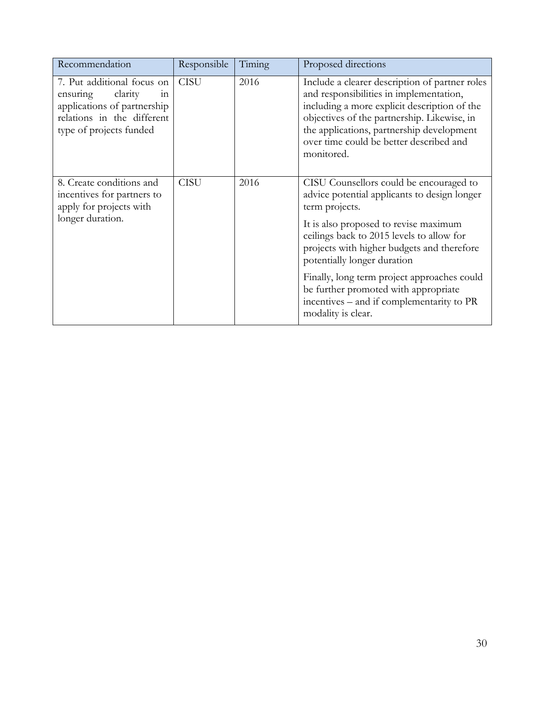| Recommendation                                                                                                                                   | Responsible | Timing | Proposed directions                                                                                                                                                                                                                                                                            |
|--------------------------------------------------------------------------------------------------------------------------------------------------|-------------|--------|------------------------------------------------------------------------------------------------------------------------------------------------------------------------------------------------------------------------------------------------------------------------------------------------|
| 7. Put additional focus on<br>clarity<br>ensuring<br>111<br>applications of partnership<br>relations in the different<br>type of projects funded | <b>CISU</b> | 2016   | Include a clearer description of partner roles<br>and responsibilities in implementation,<br>including a more explicit description of the<br>objectives of the partnership. Likewise, in<br>the applications, partnership development<br>over time could be better described and<br>monitored. |
| 8. Create conditions and<br>incentives for partners to<br>apply for projects with                                                                | <b>CISU</b> | 2016   | CISU Counsellors could be encouraged to<br>advice potential applicants to design longer<br>term projects.                                                                                                                                                                                      |
| longer duration.                                                                                                                                 |             |        | It is also proposed to revise maximum<br>ceilings back to 2015 levels to allow for<br>projects with higher budgets and therefore<br>potentially longer duration                                                                                                                                |
|                                                                                                                                                  |             |        | Finally, long term project approaches could<br>be further promoted with appropriate<br>incentives – and if complementarity to PR<br>modality is clear.                                                                                                                                         |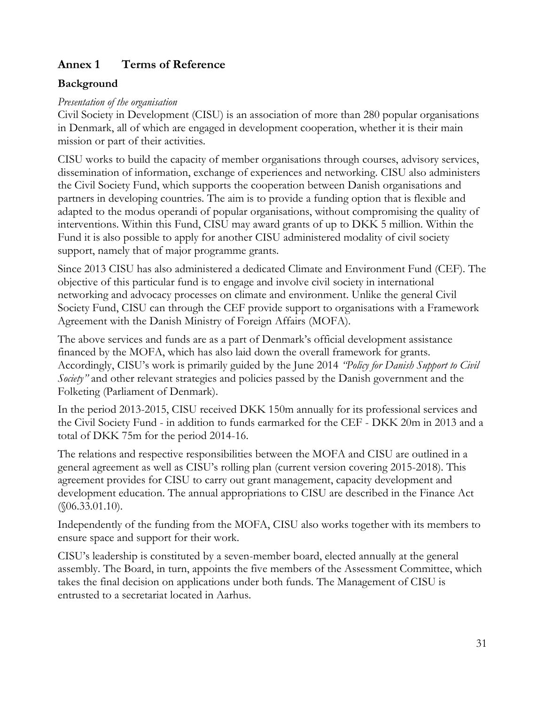## <span id="page-32-0"></span>**Annex 1 Terms of Reference**

#### **Background**

#### *Presentation of the organisation*

Civil Society in Development (CISU) is an association of more than 280 popular organisations in Denmark, all of which are engaged in development cooperation, whether it is their main mission or part of their activities.

CISU works to build the capacity of member organisations through courses, advisory services, dissemination of information, exchange of experiences and networking. CISU also administers the Civil Society Fund, which supports the cooperation between Danish organisations and partners in developing countries. The aim is to provide a funding option that is flexible and adapted to the modus operandi of popular organisations, without compromising the quality of interventions. Within this Fund, CISU may award grants of up to DKK 5 million. Within the Fund it is also possible to apply for another CISU administered modality of civil society support, namely that of major programme grants.

Since 2013 CISU has also administered a dedicated Climate and Environment Fund (CEF). The objective of this particular fund is to engage and involve civil society in international networking and advocacy processes on climate and environment. Unlike the general Civil Society Fund, CISU can through the CEF provide support to organisations with a Framework Agreement with the Danish Ministry of Foreign Affairs (MOFA).

The above services and funds are as a part of Denmark's official development assistance financed by the MOFA, which has also laid down the overall framework for grants. Accordingly, CISU's work is primarily guided by the June 2014 *"Policy for Danish Support to Civil Society*" and other relevant strategies and policies passed by the Danish government and the Folketing (Parliament of Denmark).

In the period 2013-2015, CISU received DKK 150m annually for its professional services and the Civil Society Fund - in addition to funds earmarked for the CEF - DKK 20m in 2013 and a total of DKK 75m for the period 2014-16.

The relations and respective responsibilities between the MOFA and CISU are outlined in a general agreement as well as CISU's rolling plan (current version covering 2015-2018). This agreement provides for CISU to carry out grant management, capacity development and development education. The annual appropriations to CISU are described in the Finance Act (§06.33.01.10).

Independently of the funding from the MOFA, CISU also works together with its members to ensure space and support for their work.

CISU's leadership is constituted by a seven-member board, elected annually at the general assembly. The Board, in turn, appoints the five members of the Assessment Committee, which takes the final decision on applications under both funds. The Management of CISU is entrusted to a secretariat located in Aarhus.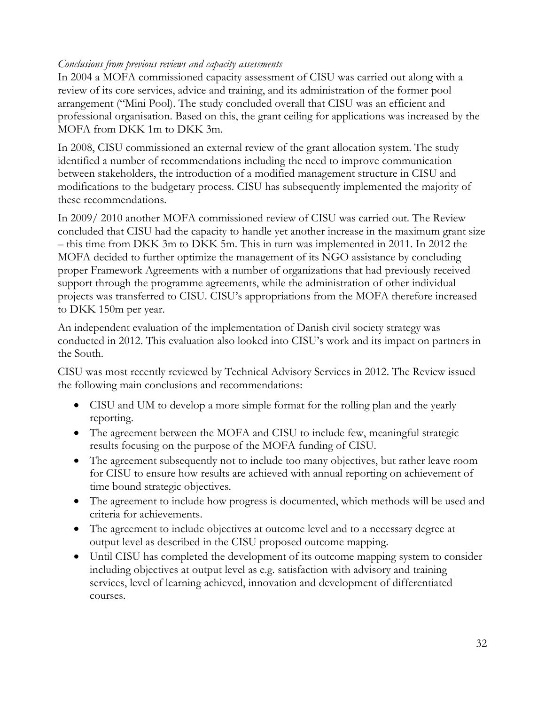#### *Conclusions from previous reviews and capacity assessments*

In 2004 a MOFA commissioned capacity assessment of CISU was carried out along with a review of its core services, advice and training, and its administration of the former pool arrangement ("Mini Pool). The study concluded overall that CISU was an efficient and professional organisation. Based on this, the grant ceiling for applications was increased by the MOFA from DKK 1m to DKK 3m.

In 2008, CISU commissioned an external review of the grant allocation system. The study identified a number of recommendations including the need to improve communication between stakeholders, the introduction of a modified management structure in CISU and modifications to the budgetary process. CISU has subsequently implemented the majority of these recommendations.

In 2009/ 2010 another MOFA commissioned review of CISU was carried out. The Review concluded that CISU had the capacity to handle yet another increase in the maximum grant size – this time from DKK 3m to DKK 5m. This in turn was implemented in 2011. In 2012 the MOFA decided to further optimize the management of its NGO assistance by concluding proper Framework Agreements with a number of organizations that had previously received support through the programme agreements, while the administration of other individual projects was transferred to CISU. CISU's appropriations from the MOFA therefore increased to DKK 150m per year.

An independent evaluation of the implementation of Danish civil society strategy was conducted in 2012. This evaluation also looked into CISU's work and its impact on partners in the South.

CISU was most recently reviewed by Technical Advisory Services in 2012. The Review issued the following main conclusions and recommendations:

- CISU and UM to develop a more simple format for the rolling plan and the yearly reporting.
- The agreement between the MOFA and CISU to include few, meaningful strategic results focusing on the purpose of the MOFA funding of CISU.
- The agreement subsequently not to include too many objectives, but rather leave room for CISU to ensure how results are achieved with annual reporting on achievement of time bound strategic objectives.
- The agreement to include how progress is documented, which methods will be used and criteria for achievements.
- The agreement to include objectives at outcome level and to a necessary degree at output level as described in the CISU proposed outcome mapping.
- Until CISU has completed the development of its outcome mapping system to consider including objectives at output level as e.g. satisfaction with advisory and training services, level of learning achieved, innovation and development of differentiated courses.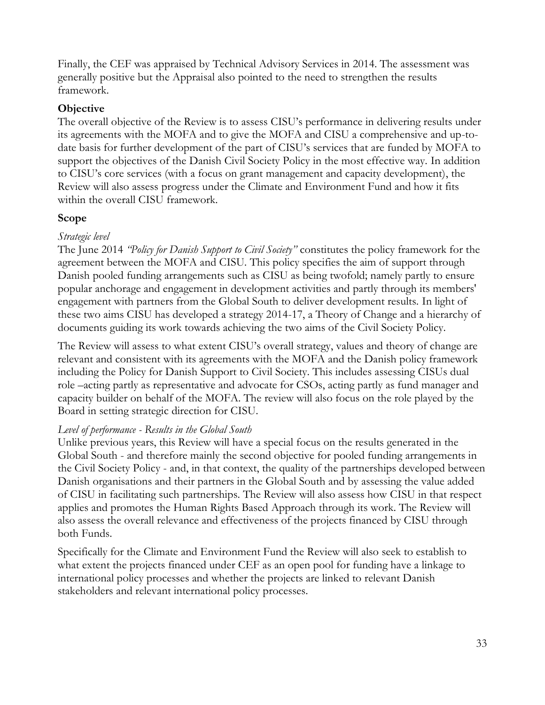Finally, the CEF was appraised by Technical Advisory Services in 2014. The assessment was generally positive but the Appraisal also pointed to the need to strengthen the results framework.

#### **Objective**

The overall objective of the Review is to assess CISU's performance in delivering results under its agreements with the MOFA and to give the MOFA and CISU a comprehensive and up-todate basis for further development of the part of CISU's services that are funded by MOFA to support the objectives of the Danish Civil Society Policy in the most effective way. In addition to CISU's core services (with a focus on grant management and capacity development), the Review will also assess progress under the Climate and Environment Fund and how it fits within the overall CISU framework.

#### **Scope**

#### *Strategic level*

The June 2014 *"Policy for Danish Support to Civil Society"* constitutes the policy framework for the agreement between the MOFA and CISU*.* This policy specifies the aim of support through Danish pooled funding arrangements such as CISU as being twofold; namely partly to ensure popular anchorage and engagement in development activities and partly through its members' engagement with partners from the Global South to deliver development results. In light of these two aims CISU has developed a strategy 2014-17, a Theory of Change and a hierarchy of documents guiding its work towards achieving the two aims of the Civil Society Policy.

The Review will assess to what extent CISU's overall strategy, values and theory of change are relevant and consistent with its agreements with the MOFA and the Danish policy framework including the Policy for Danish Support to Civil Society. This includes assessing CISUs dual role –acting partly as representative and advocate for CSOs, acting partly as fund manager and capacity builder on behalf of the MOFA. The review will also focus on the role played by the Board in setting strategic direction for CISU.

#### *Level of performance - Results in the Global South*

Unlike previous years, this Review will have a special focus on the results generated in the Global South - and therefore mainly the second objective for pooled funding arrangements in the Civil Society Policy - and, in that context, the quality of the partnerships developed between Danish organisations and their partners in the Global South and by assessing the value added of CISU in facilitating such partnerships. The Review will also assess how CISU in that respect applies and promotes the Human Rights Based Approach through its work. The Review will also assess the overall relevance and effectiveness of the projects financed by CISU through both Funds.

Specifically for the Climate and Environment Fund the Review will also seek to establish to what extent the projects financed under CEF as an open pool for funding have a linkage to international policy processes and whether the projects are linked to relevant Danish stakeholders and relevant international policy processes.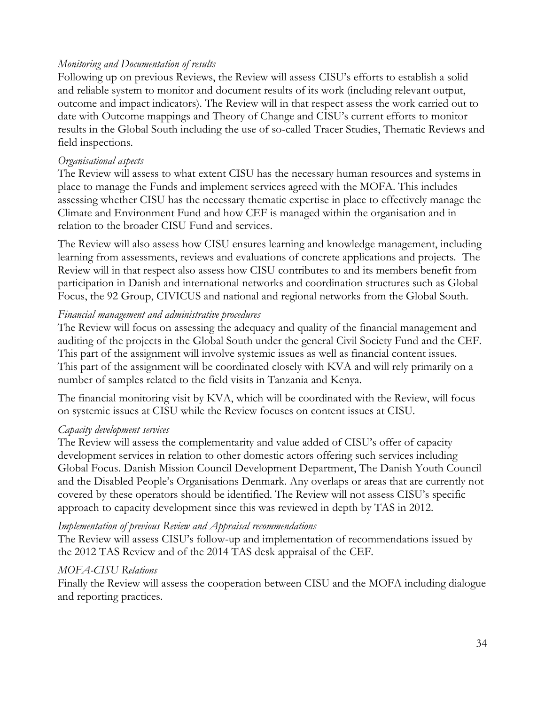#### *Monitoring and Documentation of results*

Following up on previous Reviews, the Review will assess CISU's efforts to establish a solid and reliable system to monitor and document results of its work (including relevant output, outcome and impact indicators). The Review will in that respect assess the work carried out to date with Outcome mappings and Theory of Change and CISU's current efforts to monitor results in the Global South including the use of so-called Tracer Studies, Thematic Reviews and field inspections.

#### *Organisational aspects*

The Review will assess to what extent CISU has the necessary human resources and systems in place to manage the Funds and implement services agreed with the MOFA. This includes assessing whether CISU has the necessary thematic expertise in place to effectively manage the Climate and Environment Fund and how CEF is managed within the organisation and in relation to the broader CISU Fund and services.

The Review will also assess how CISU ensures learning and knowledge management, including learning from assessments, reviews and evaluations of concrete applications and projects. The Review will in that respect also assess how CISU contributes to and its members benefit from participation in Danish and international networks and coordination structures such as Global Focus, the 92 Group, CIVICUS and national and regional networks from the Global South.

#### *Financial management and administrative procedures*

The Review will focus on assessing the adequacy and quality of the financial management and auditing of the projects in the Global South under the general Civil Society Fund and the CEF. This part of the assignment will involve systemic issues as well as financial content issues. This part of the assignment will be coordinated closely with KVA and will rely primarily on a number of samples related to the field visits in Tanzania and Kenya.

The financial monitoring visit by KVA, which will be coordinated with the Review, will focus on systemic issues at CISU while the Review focuses on content issues at CISU.

#### *Capacity development services*

The Review will assess the complementarity and value added of CISU's offer of capacity development services in relation to other domestic actors offering such services including Global Focus. Danish Mission Council Development Department, The Danish Youth Council and the Disabled People's Organisations Denmark. Any overlaps or areas that are currently not covered by these operators should be identified. The Review will not assess CISU's specific approach to capacity development since this was reviewed in depth by TAS in 2012.

#### *Implementation of previous Review and Appraisal recommendations*

The Review will assess CISU's follow-up and implementation of recommendations issued by the 2012 TAS Review and of the 2014 TAS desk appraisal of the CEF.

#### *MOFA-CISU Relations*

Finally the Review will assess the cooperation between CISU and the MOFA including dialogue and reporting practices.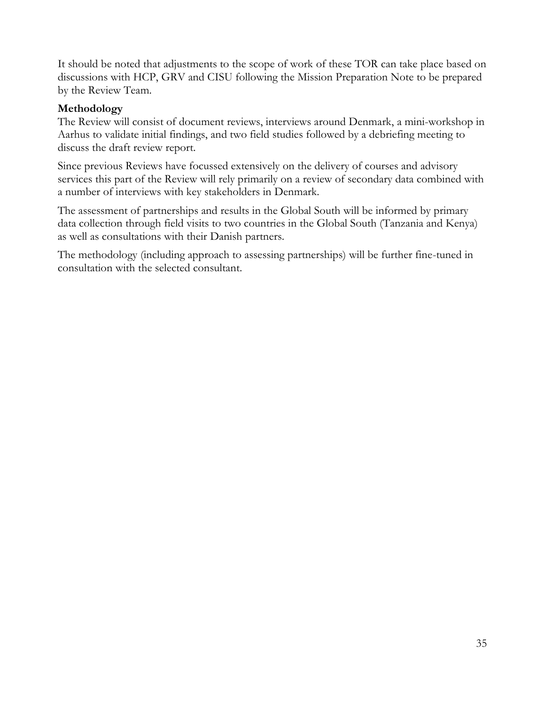It should be noted that adjustments to the scope of work of these TOR can take place based on discussions with HCP, GRV and CISU following the Mission Preparation Note to be prepared by the Review Team.

#### **Methodology**

The Review will consist of document reviews, interviews around Denmark, a mini-workshop in Aarhus to validate initial findings, and two field studies followed by a debriefing meeting to discuss the draft review report.

Since previous Reviews have focussed extensively on the delivery of courses and advisory services this part of the Review will rely primarily on a review of secondary data combined with a number of interviews with key stakeholders in Denmark.

The assessment of partnerships and results in the Global South will be informed by primary data collection through field visits to two countries in the Global South (Tanzania and Kenya) as well as consultations with their Danish partners.

The methodology (including approach to assessing partnerships) will be further fine-tuned in consultation with the selected consultant.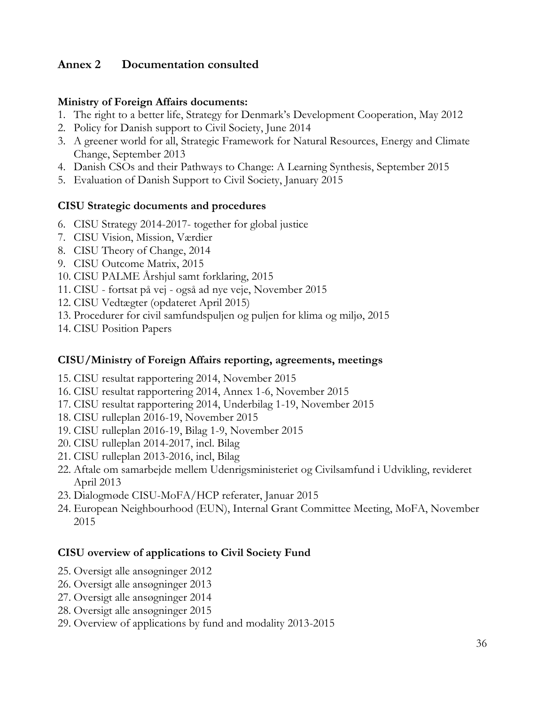#### <span id="page-37-0"></span>**Annex 2 Documentation consulted**

#### **Ministry of Foreign Affairs documents:**

- 1. The right to a better life, Strategy for Denmark's Development Cooperation, May 2012
- 2. Policy for Danish support to Civil Society, June 2014
- 3. A greener world for all, Strategic Framework for Natural Resources, Energy and Climate Change, September 2013
- 4. Danish CSOs and their Pathways to Change: A Learning Synthesis, September 2015
- 5. Evaluation of Danish Support to Civil Society, January 2015

#### **CISU Strategic documents and procedures**

- 6. CISU Strategy 2014-2017- together for global justice
- 7. CISU Vision, Mission, Værdier
- 8. CISU Theory of Change, 2014
- 9. CISU Outcome Matrix, 2015
- 10. CISU PALME Årshjul samt forklaring, 2015
- 11. CISU fortsat på vej også ad nye veje, November 2015
- 12. CISU Vedtægter (opdateret April 2015)
- 13. Procedurer for civil samfundspuljen og puljen for klima og miljø, 2015
- 14. CISU Position Papers

#### **CISU/Ministry of Foreign Affairs reporting, agreements, meetings**

- 15. CISU resultat rapportering 2014, November 2015
- 16. CISU resultat rapportering 2014, Annex 1-6, November 2015
- 17. CISU resultat rapportering 2014, Underbilag 1-19, November 2015
- 18. CISU rulleplan 2016-19, November 2015
- 19. CISU rulleplan 2016-19, Bilag 1-9, November 2015
- 20. CISU rulleplan 2014-2017, incl. Bilag
- 21. CISU rulleplan 2013-2016, incl, Bilag
- 22. Aftale om samarbejde mellem Udenrigsministeriet og Civilsamfund i Udvikling, revideret April 2013
- 23. Dialogmøde CISU-MoFA/HCP referater, Januar 2015
- 24. European Neighbourhood (EUN), Internal Grant Committee Meeting, MoFA, November 2015

#### **CISU overview of applications to Civil Society Fund**

- 25. Oversigt alle ansøgninger 2012
- 26. Oversigt alle ansøgninger 2013
- 27. Oversigt alle ansøgninger 2014
- 28. Oversigt alle ansøgninger 2015
- 29. Overview of applications by fund and modality 2013-2015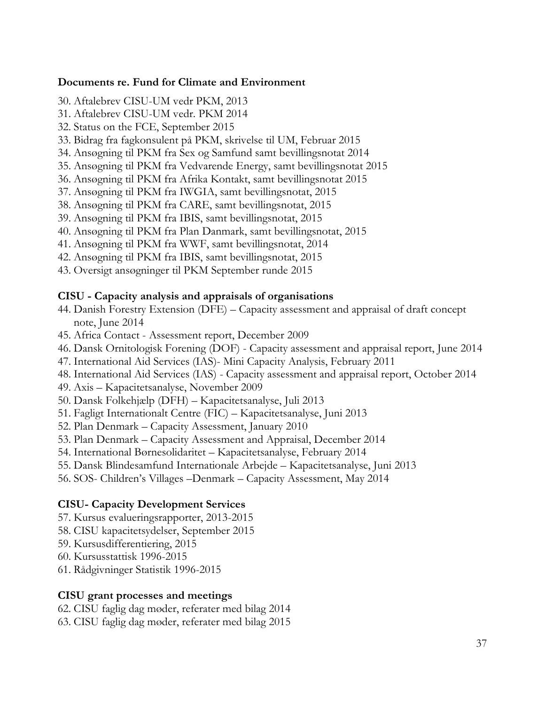#### **Documents re. Fund for Climate and Environment**

- 30. Aftalebrev CISU-UM vedr PKM, 2013
- 31. Aftalebrev CISU-UM vedr. PKM 2014
- 32. Status on the FCE, September 2015
- 33. Bidrag fra fagkonsulent på PKM, skrivelse til UM, Februar 2015
- 34. Ansøgning til PKM fra Sex og Samfund samt bevillingsnotat 2014
- 35. Ansøgning til PKM fra Vedvarende Energy, samt bevillingsnotat 2015
- 36. Ansøgning til PKM fra Afrika Kontakt, samt bevillingsnotat 2015
- 37. Ansøgning til PKM fra IWGIA, samt bevillingsnotat, 2015
- 38. Ansøgning til PKM fra CARE, samt bevillingsnotat, 2015
- 39. Ansøgning til PKM fra IBIS, samt bevillingsnotat, 2015
- 40. Ansøgning til PKM fra Plan Danmark, samt bevillingsnotat, 2015
- 41. Ansøgning til PKM fra WWF, samt bevillingsnotat, 2014
- 42. Ansøgning til PKM fra IBIS, samt bevillingsnotat, 2015
- 43. Oversigt ansøgninger til PKM September runde 2015

#### **CISU - Capacity analysis and appraisals of organisations**

- 44. Danish Forestry Extension (DFE) Capacity assessment and appraisal of draft concept note, June 2014
- 45. Africa Contact Assessment report, December 2009
- 46. Dansk Ornitologisk Forening (DOF) Capacity assessment and appraisal report, June 2014
- 47. International Aid Services (IAS)- Mini Capacity Analysis, February 2011
- 48. International Aid Services (IAS) Capacity assessment and appraisal report, October 2014
- 49. Axis Kapacitetsanalyse, November 2009
- 50. Dansk Folkehjælp (DFH) Kapacitetsanalyse, Juli 2013
- 51. Fagligt Internationalt Centre (FIC) Kapacitetsanalyse, Juni 2013
- 52. Plan Denmark Capacity Assessment, January 2010
- 53. Plan Denmark Capacity Assessment and Appraisal, December 2014
- 54. International Børnesolidaritet Kapacitetsanalyse, February 2014
- 55. Dansk Blindesamfund Internationale Arbejde Kapacitetsanalyse, Juni 2013
- 56. SOS- Children's Villages –Denmark Capacity Assessment, May 2014

#### **CISU- Capacity Development Services**

- 57. Kursus evalueringsrapporter, 2013-2015
- 58. CISU kapacitetsydelser, September 2015
- 59. Kursusdifferentiering, 2015
- 60. Kursusstattisk 1996-2015
- 61. Rådgivninger Statistik 1996-2015

#### **CISU grant processes and meetings**

62. CISU faglig dag møder, referater med bilag 2014

63. CISU faglig dag møder, referater med bilag 2015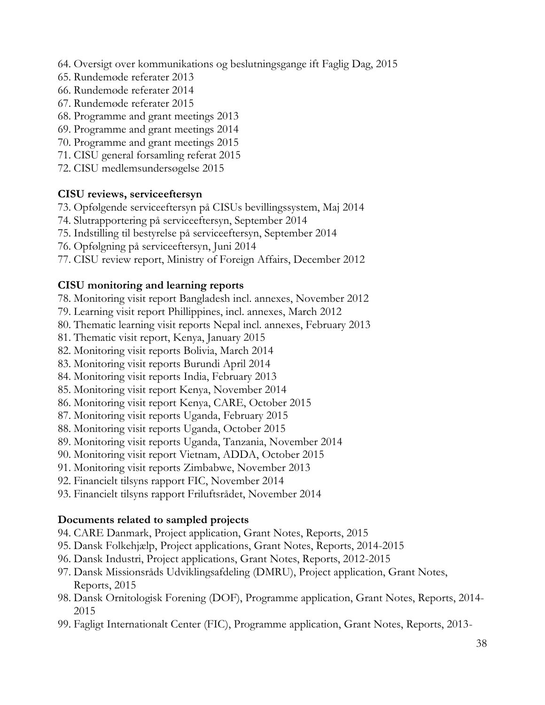- 64. Oversigt over kommunikations og beslutningsgange ift Faglig Dag, 2015
- 65. Rundemøde referater 2013
- 66. Rundemøde referater 2014
- 67. Rundemøde referater 2015
- 68. Programme and grant meetings 2013
- 69. Programme and grant meetings 2014
- 70. Programme and grant meetings 2015
- 71. CISU general forsamling referat 2015
- 72. CISU medlemsundersøgelse 2015

#### **CISU reviews, serviceeftersyn**

- 73. Opfølgende serviceeftersyn på CISUs bevillingssystem, Maj 2014
- 74. Slutrapportering på serviceeftersyn, September 2014
- 75. Indstilling til bestyrelse på serviceeftersyn, September 2014
- 76. Opfølgning på serviceeftersyn, Juni 2014
- 77. CISU review report, Ministry of Foreign Affairs, December 2012

#### **CISU monitoring and learning reports**

- 78. Monitoring visit report Bangladesh incl. annexes, November 2012
- 79. Learning visit report Phillippines, incl. annexes, March 2012
- 80. Thematic learning visit reports Nepal incl. annexes, February 2013
- 81. Thematic visit report, Kenya, January 2015
- 82. Monitoring visit reports Bolivia, March 2014
- 83. Monitoring visit reports Burundi April 2014
- 84. Monitoring visit reports India, February 2013
- 85. Monitoring visit report Kenya, November 2014
- 86. Monitoring visit report Kenya, CARE, October 2015
- 87. Monitoring visit reports Uganda, February 2015
- 88. Monitoring visit reports Uganda, October 2015
- 89. Monitoring visit reports Uganda, Tanzania, November 2014
- 90. Monitoring visit report Vietnam, ADDA, October 2015
- 91. Monitoring visit reports Zimbabwe, November 2013
- 92. Financielt tilsyns rapport FIC, November 2014
- 93. Financielt tilsyns rapport Friluftsrådet, November 2014

#### **Documents related to sampled projects**

- 94. CARE Danmark, Project application, Grant Notes, Reports, 2015
- 95. Dansk Folkehjælp, Project applications, Grant Notes, Reports, 2014-2015
- 96. Dansk Industri, Project applications, Grant Notes, Reports, 2012-2015
- 97. Dansk Missionsråds Udviklingsafdeling (DMRU), Project application, Grant Notes, Reports, 2015
- 98. Dansk Ornitologisk Forening (DOF), Programme application, Grant Notes, Reports, 2014- 2015
- 99. Fagligt Internationalt Center (FIC), Programme application, Grant Notes, Reports, 2013-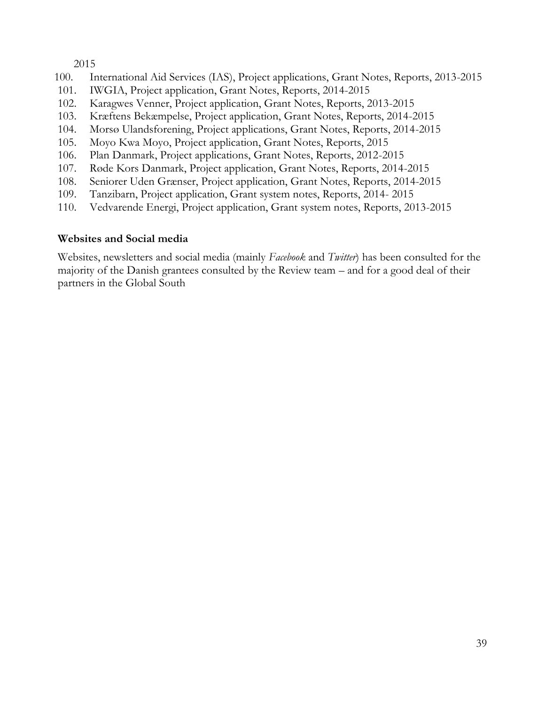2015

- 100. International Aid Services (IAS), Project applications, Grant Notes, Reports, 2013-2015
- 101. IWGIA, Project application, Grant Notes, Reports, 2014-2015
- 102. Karagwes Venner, Project application, Grant Notes, Reports, 2013-2015
- 103. Kræftens Bekæmpelse, Project application, Grant Notes, Reports, 2014-2015
- 104. Morsø Ulandsforening, Project applications, Grant Notes, Reports, 2014-2015
- 105. Moyo Kwa Moyo, Project application, Grant Notes, Reports, 2015
- 106. Plan Danmark, Project applications, Grant Notes, Reports, 2012-2015
- 107. Røde Kors Danmark, Project application, Grant Notes, Reports, 2014-2015
- 108. Seniorer Uden Grænser, Project application, Grant Notes, Reports, 2014-2015
- 109. Tanzibarn, Project application, Grant system notes, Reports, 2014- 2015
- 110. Vedvarende Energi, Project application, Grant system notes, Reports, 2013-2015

#### **Websites and Social media**

Websites, newsletters and social media (mainly *Facebook* and *Twitter*) has been consulted for the majority of the Danish grantees consulted by the Review team – and for a good deal of their partners in the Global South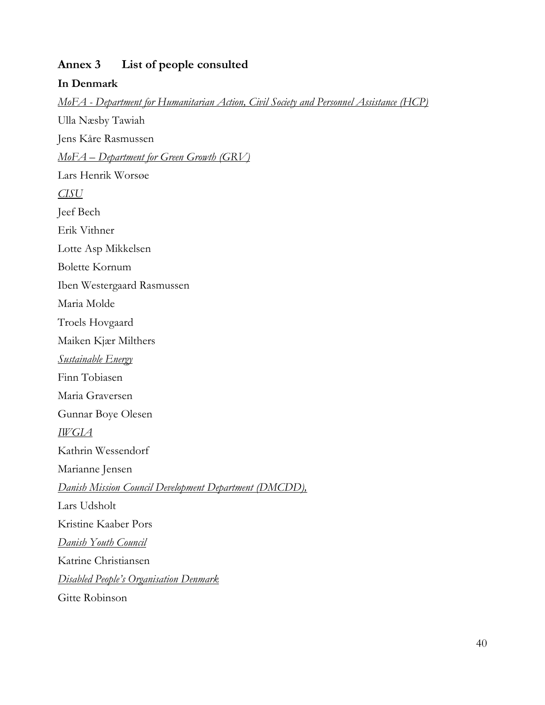#### <span id="page-41-0"></span>**Annex 3 List of people consulted**

#### **In Denmark**

*MoFA - Department for Humanitarian Action, Civil Society and Personnel Assistance (HCP)* Ulla Næsby Tawiah Jens Kåre Rasmussen *MoFA – Department for Green Growth (GRV)* Lars Henrik Worsøe *CISU* Jeef Bech Erik Vithner Lotte Asp Mikkelsen Bolette Kornum Iben Westergaard Rasmussen Maria Molde Troels Hovgaard Maiken Kjær Milthers *Sustainable Energy* Finn Tobiasen Maria Graversen Gunnar Boye Olesen *IWGIA* Kathrin Wessendorf Marianne Jensen *Danish Mission Council Development Department (DMCDD),*  Lars Udsholt Kristine Kaaber Pors *Danish Youth Council* Katrine Christiansen *Disabled People's Organisation Denmark* Gitte Robinson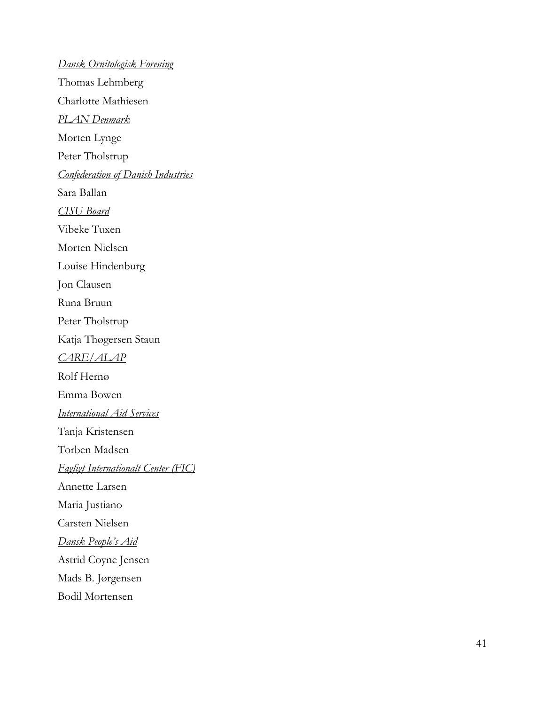*Dansk Ornitologisk Forening* Thomas Lehmberg Charlotte Mathiesen *PLAN Denmark* Morten Lynge Peter Tholstrup *Confederation of Danish Industries* Sara Ballan *CISU Board* Vibeke Tuxen Morten Nielsen Louise Hindenburg Jon Clausen Runa Bruun Peter Tholstrup Katja Thøgersen Staun *CARE/ALAP* Rolf Hernø Emma Bowen *International Aid Services* Tanja Kristensen Torben Madsen *Fagligt Internationalt Center (FIC)* Annette Larsen Maria Justiano Carsten Nielsen *Dansk People's Aid* Astrid Coyne Jensen Mads B. Jørgensen Bodil Mortensen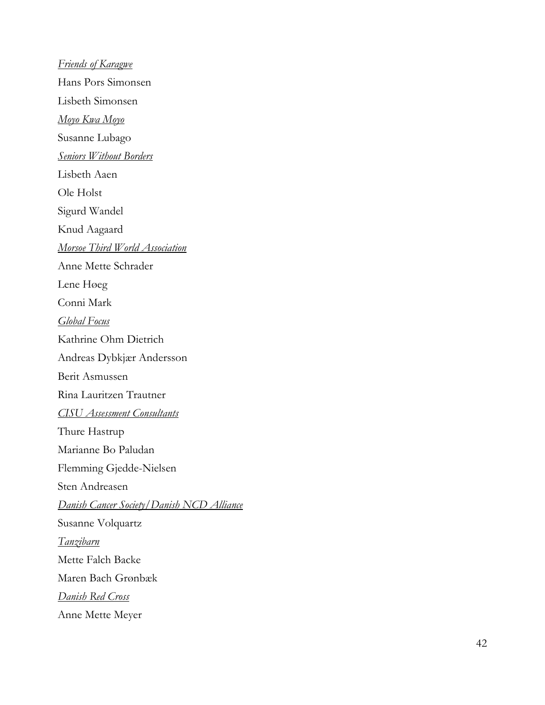*Friends of Karagwe* Hans Pors Simonsen Lisbeth Simonsen *Moyo Kwa Moyo* Susanne Lubago *Seniors Without Borders* Lisbeth Aaen Ole Holst Sigurd Wandel Knud Aagaard *Morsoe Third World Association* Anne Mette Schrader Lene Høeg Conni Mark *Global Fo cus* Kathrine Ohm Dietrich Andreas Dybkjær Andersson Berit Asmussen Rina Lauritzen Trautner *CISU Assessment Consultants* Thure Hastrup Marianne Bo Paludan Flemming Gjedde -Nielsen Sten Andreasen *Danish Cancer Society/Danish NCD Alliance* Susanne Volquartz *Tanzibarn* Mette Falch Backe Maren Bach Grønbæk *Danish Red Cross*  Anne Mette Meyer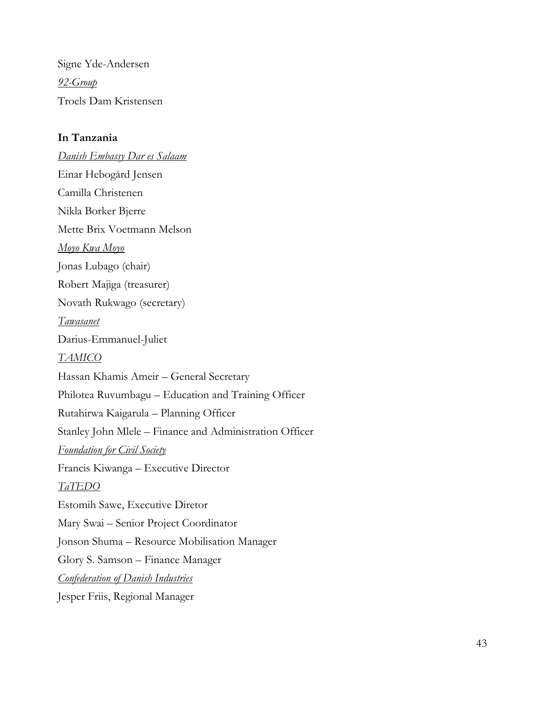Signe Yde-Andersen *92-Group* Troels Dam Kristensen

#### **In Tanzania**

*Danish Embassy Dar es Salaam* Einar Hebogård Jensen Camilla Christenen Nikla Borker Bjerre Mette Brix Voetmann Melson *Moyo Kwa Moyo* Jonas Lubago (chair) Robert Majiga (treasurer) Novath Rukwago (secretary) *Tawasanet* Darius-Emmanuel-Juliet *TAMICO* Hassan Khamis Ameir – General Secretary Philotea Ruvumbagu – Education and Training Officer Rutahirwa Kaigarula – Planning Officer Stanley John Mlele – Finance and Administration Officer *Foundation for Civil Society* Francis Kiwanga – Executive Director *TaTEDO* Estomih Sawe, Executive Diretor Mary Swai – Senior Project Coordinator Jonson Shuma – Resource Mobilisation Manager Glory S. Samson – Finance Manager *Confederation of Danish Industries* Jesper Friis, Regional Manager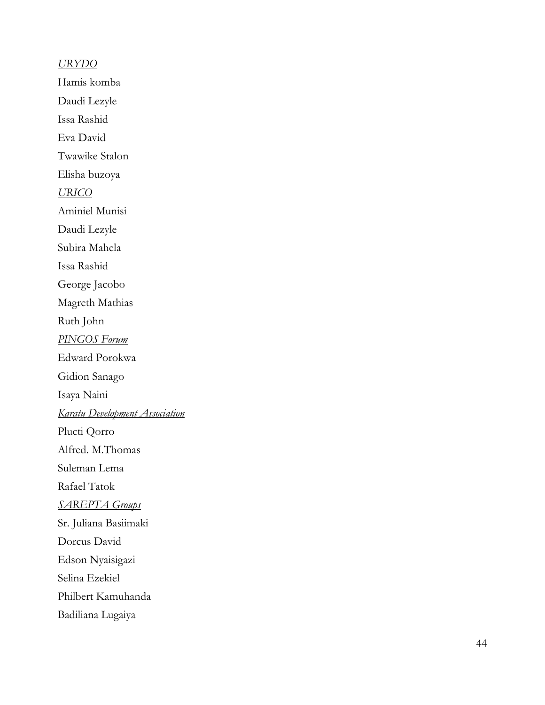*URYDO* Hamis komba Daudi Lezyle Issa Rashid Eva David Twawike Stalon Elisha buzoya *URICO* Aminiel Munisi Daudi Lezyle Subira Mahela Issa Rashid George Jacobo Magreth Mathias Ruth John *PINGOS Forum* Edward Porokwa Gidion Sanago Isaya Naini *Karatu Development Association* Plucti Qorro Alfred. M.Thomas Suleman Lema Rafael Tatok *SAREPTA Groups* Sr. Juliana Basiimaki Dorcus David Edson Nyaisigazi Selina Ezekiel Philbert Kamuhanda Badiliana Lugaiya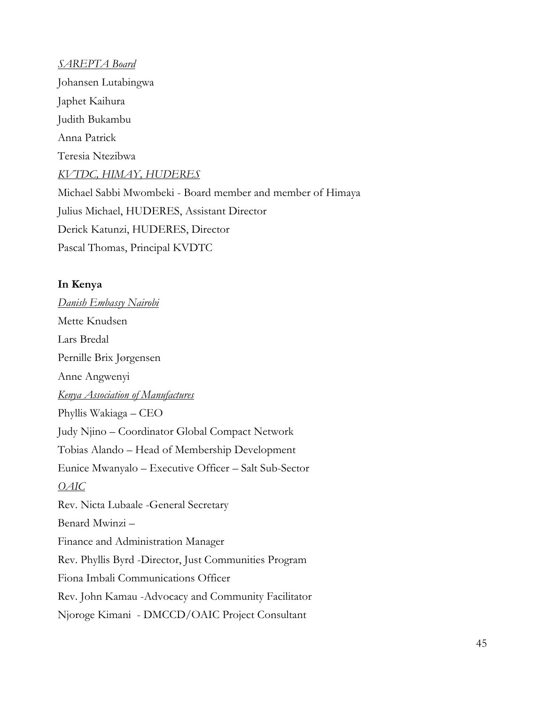*SAREPTA Board* Johansen Lutabingwa Japhet Kaihura Judith Bukambu Anna Patrick Teresia Ntezibwa *KVTDC, HIMAY, HUDERES* Michael Sabbi Mwombeki - Board member and member of Himaya Julius Michael, HUDERES, Assistant Director Derick Katunzi, HUDERES, Director Pascal Thomas, Principal KVDTC

#### **In Kenya**

*Danish Embassy Nairobi* Mette Knudsen Lars Bredal Pernille Brix Jørgensen Anne Angwenyi *Kenya Association of Manufactures* Phyllis Wakiaga – CEO Judy Njino – Coordinator Global Compact Network Tobias Alando – Head of Membership Development Eunice Mwanyalo – Executive Officer – Salt Sub-Sector *OAIC* Rev. Nicta Lubaale -General Secretary Benard Mwinzi – Finance and Administration Manager Rev. Phyllis Byrd -Director, Just Communities Program Fiona Imbali Communications Officer Rev. John Kamau -Advocacy and Community Facilitator Njoroge Kimani - DMCCD/OAIC Project Consultant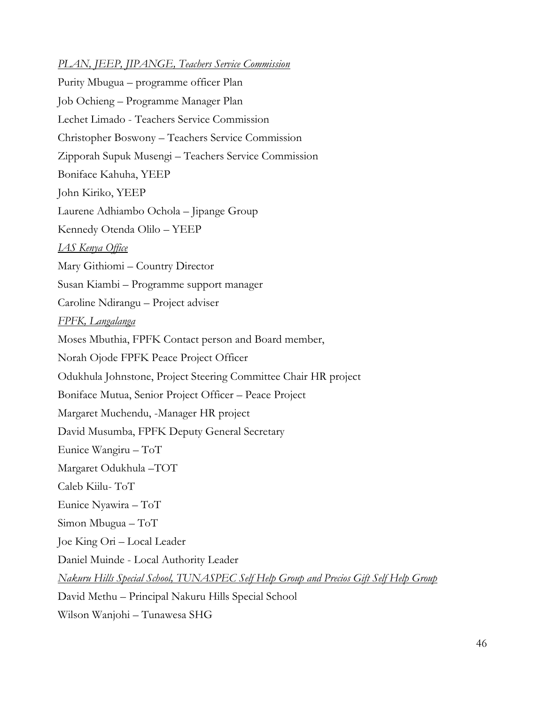#### *PLAN, JEEP, JIPANGE, Teachers Service Commission*

Purity Mbugua – programme officer Plan Job Ochieng – Programme Manager Plan Lechet Limado - Teachers Service Commission Christopher Boswony – Teachers Service Commission Zipporah Supuk Musengi – Teachers Service Commission Boniface Kahuha, YEEP John Kiriko, YEEP Laurene Adhiambo Ochola – Jipange Group Kennedy Otenda Olilo – YEEP *IAS Kenya Office* Mary Githiomi – Country Director Susan Kiambi – Programme support manager Caroline Ndirangu – Project adviser *FPFK, Langalanga* Moses Mbuthia, FPFK Contact person and Board member, Norah Ojode FPFK Peace Project Officer Odukhula Johnstone, Project Steering Committee Chair HR project Boniface Mutua, Senior Project Officer – Peace Project Margaret Muchendu, -Manager HR project David Musumba, FPFK Deputy General Secretary Eunice Wangiru – ToT Margaret Odukhula –TOT Caleb Kiilu- ToT Eunice Nyawira – ToT Simon Mbugua – ToT Joe King Ori – Local Leader Daniel Muinde - Local Authority Leader *Nakuru Hills Special School, TUNASPEC Self Help Group and Precios Gift Self Help Group*  David Methu – Principal Nakuru Hills Special School Wilson Wanjohi – Tunawesa SHG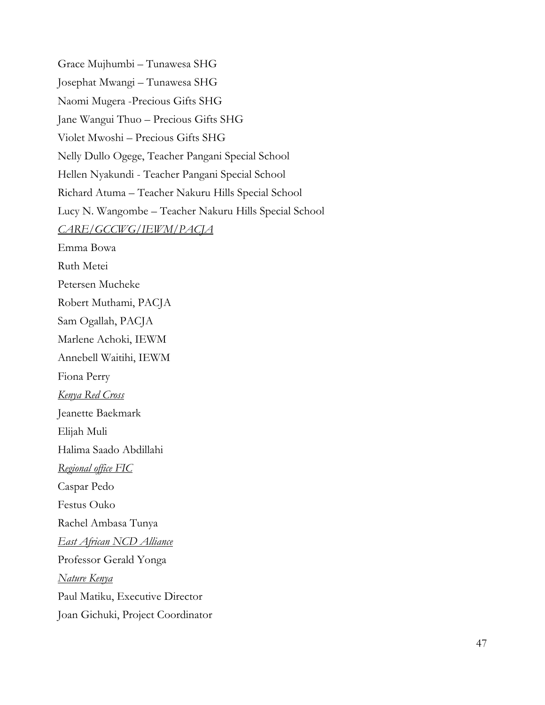Grace Mujhumbi – Tunawesa SHG Josephat Mwangi – Tunawesa SHG Naomi Mugera -Precious Gifts SHG Jane Wangui Thuo – Precious Gifts SHG Violet Mwoshi – Precious Gifts SHG Nelly Dullo Ogege, Teacher Pangani Special School Hellen Nyakundi - Teacher Pangani Special School Richard Atuma – Teacher Nakuru Hills Special School Lucy N. Wangombe – Teacher Nakuru Hills Special School *CARE/GCCWG/IEWM/PACJA* Emma Bowa Ruth Metei Petersen Mucheke Robert Muthami, PACJA Sam Ogallah, PACJA Marlene Achoki, IEWM Annebell Waitihi, IEWM Fiona Perry *Kenya Red Cross*  Jeanette Baekmark Elijah Muli Halima Saado Abdillahi *Regional office FIC* Caspar Pedo Festus Ouko Rachel Ambasa Tunya *East African NCD Alliance*  Professor Gerald Yonga *Nature Kenya* Paul Matiku, Executive Director Joan Gichuki, Project Coordinator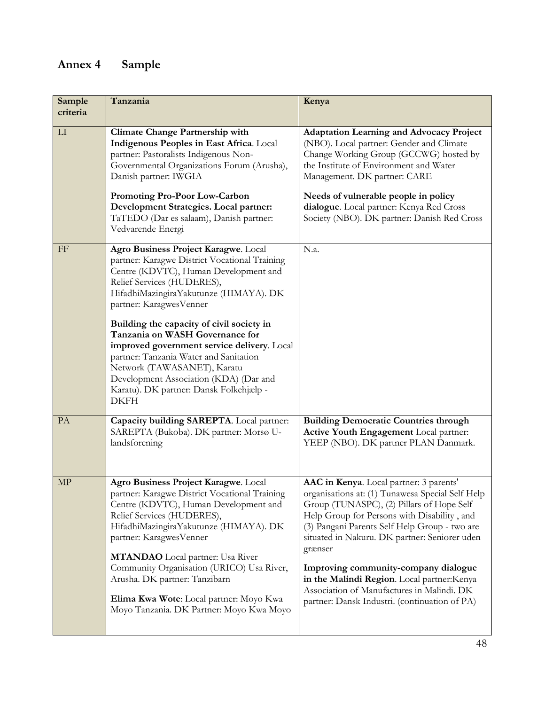# <span id="page-49-0"></span>**Annex 4 Sample**

| Sample<br>criteria         | Tanzania                                                                                                                                                                                                                                                                                                                                                                                                                                                                                                                                      | Kenya                                                                                                                                                                                                                                                                                                                                                                                                                                                                                      |
|----------------------------|-----------------------------------------------------------------------------------------------------------------------------------------------------------------------------------------------------------------------------------------------------------------------------------------------------------------------------------------------------------------------------------------------------------------------------------------------------------------------------------------------------------------------------------------------|--------------------------------------------------------------------------------------------------------------------------------------------------------------------------------------------------------------------------------------------------------------------------------------------------------------------------------------------------------------------------------------------------------------------------------------------------------------------------------------------|
| LI                         | <b>Climate Change Partnership with</b><br>Indigenous Peoples in East Africa. Local<br>partner: Pastoralists Indigenous Non-<br>Governmental Organizations Forum (Arusha),<br>Danish partner: IWGIA<br>Promoting Pro-Poor Low-Carbon<br>Development Strategies. Local partner:<br>TaTEDO (Dar es salaam), Danish partner:                                                                                                                                                                                                                      | <b>Adaptation Learning and Advocacy Project</b><br>(NBO). Local partner: Gender and Climate<br>Change Working Group (GCCWG) hosted by<br>the Institute of Environment and Water<br>Management. DK partner: CARE<br>Needs of vulnerable people in policy<br>dialogue. Local partner: Kenya Red Cross<br>Society (NBO). DK partner: Danish Red Cross                                                                                                                                         |
|                            | Vedvarende Energi                                                                                                                                                                                                                                                                                                                                                                                                                                                                                                                             |                                                                                                                                                                                                                                                                                                                                                                                                                                                                                            |
| FF                         | Agro Business Project Karagwe. Local<br>partner: Karagwe District Vocational Training<br>Centre (KDVTC), Human Development and<br>Relief Services (HUDERES),<br>HifadhiMazingiraYakutunze (HIMAYA). DK<br>partner: KaragwesVenner<br>Building the capacity of civil society in<br>Tanzania on WASH Governance for<br>improved government service delivery. Local<br>partner: Tanzania Water and Sanitation<br>Network (TAWASANET), Karatu<br>Development Association (KDA) (Dar and<br>Karatu). DK partner: Dansk Folkehjælp -<br><b>DKFH</b> | N.a.                                                                                                                                                                                                                                                                                                                                                                                                                                                                                       |
| PA                         | Capacity building SAREPTA. Local partner:<br>SAREPTA (Bukoba). DK partner: Morsø U-<br>landsforening                                                                                                                                                                                                                                                                                                                                                                                                                                          | <b>Building Democratic Countries through</b><br>Active Youth Engagement Local partner:<br>YEEP (NBO). DK partner PLAN Danmark.                                                                                                                                                                                                                                                                                                                                                             |
| $\ensuremath{\mathrm{MP}}$ | Agro Business Project Karagwe. Local<br>partner: Karagwe District Vocational Training<br>Centre (KDVTC), Human Development and<br>Relief Services (HUDERES),<br>HifadhiMazingiraYakutunze (HIMAYA). DK<br>partner: KaragwesVenner<br><b>MTANDAO</b> Local partner: Usa River<br>Community Organisation (URICO) Usa River,<br>Arusha. DK partner: Tanzibarn<br>Elima Kwa Wote: Local partner: Moyo Kwa<br>Moyo Tanzania. DK Partner: Moyo Kwa Moyo                                                                                             | AAC in Kenya. Local partner: 3 parents'<br>organisations at: (1) Tunawesa Special Self Help<br>Group (TUNASPC), (2) Pillars of Hope Self<br>Help Group for Persons with Disability, and<br>(3) Pangani Parents Self Help Group - two are<br>situated in Nakuru. DK partner: Seniorer uden<br>grænser<br>Improving community-company dialogue<br>in the Malindi Region. Local partner: Kenya<br>Association of Manufactures in Malindi. DK<br>partner: Dansk Industri. (continuation of PA) |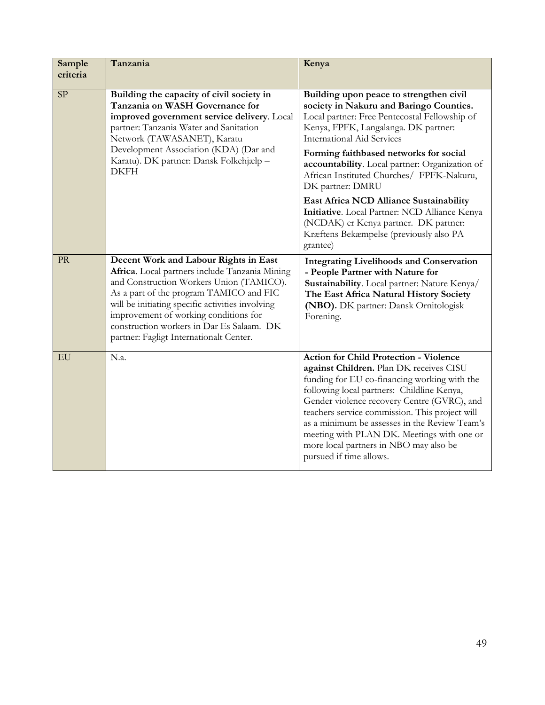| Sample<br>criteria | Tanzania                                                                                                                                                                                                                                                                                                                                                            | Kenya                                                                                                                                                                                                                                                                                                                                                                                                                                                       |
|--------------------|---------------------------------------------------------------------------------------------------------------------------------------------------------------------------------------------------------------------------------------------------------------------------------------------------------------------------------------------------------------------|-------------------------------------------------------------------------------------------------------------------------------------------------------------------------------------------------------------------------------------------------------------------------------------------------------------------------------------------------------------------------------------------------------------------------------------------------------------|
| SP                 | Building the capacity of civil society in<br>Tanzania on WASH Governance for<br>improved government service delivery. Local<br>partner: Tanzania Water and Sanitation<br>Network (TAWASANET), Karatu<br>Development Association (KDA) (Dar and<br>Karatu). DK partner: Dansk Folkehjælp -<br><b>DKFH</b>                                                            | Building upon peace to strengthen civil<br>society in Nakuru and Baringo Counties.<br>Local partner: Free Pentecostal Fellowship of<br>Kenya, FPFK, Langalanga. DK partner:<br><b>International Aid Services</b><br>Forming faithbased networks for social<br>accountability. Local partner: Organization of<br>African Instituted Churches/ FPFK-Nakuru,<br>DK partner: DMRU                                                                               |
|                    |                                                                                                                                                                                                                                                                                                                                                                     | East Africa NCD Alliance Sustainability<br>Initiative. Local Partner: NCD Alliance Kenya<br>(NCDAK) er Kenya partner. DK partner:<br>Kræftens Bekæmpelse (previously also PA<br>grantee)                                                                                                                                                                                                                                                                    |
| <b>PR</b>          | Decent Work and Labour Rights in East<br>Africa. Local partners include Tanzania Mining<br>and Construction Workers Union (TAMICO).<br>As a part of the program TAMICO and FIC<br>will be initiating specific activities involving<br>improvement of working conditions for<br>construction workers in Dar Es Salaam. DK<br>partner: Fagligt Internationalt Center. | <b>Integrating Livelihoods and Conservation</b><br>- People Partner with Nature for<br>Sustainability. Local partner: Nature Kenya/<br>The East Africa Natural History Society<br>(NBO). DK partner: Dansk Ornitologisk<br>Forening.                                                                                                                                                                                                                        |
| EU                 | N.a.                                                                                                                                                                                                                                                                                                                                                                | <b>Action for Child Protection - Violence</b><br>against Children. Plan DK receives CISU<br>funding for EU co-financing working with the<br>following local partners: Childline Kenya,<br>Gender violence recovery Centre (GVRC), and<br>teachers service commission. This project will<br>as a minimum be assesses in the Review Team's<br>meeting with PLAN DK. Meetings with one or<br>more local partners in NBO may also be<br>pursued if time allows. |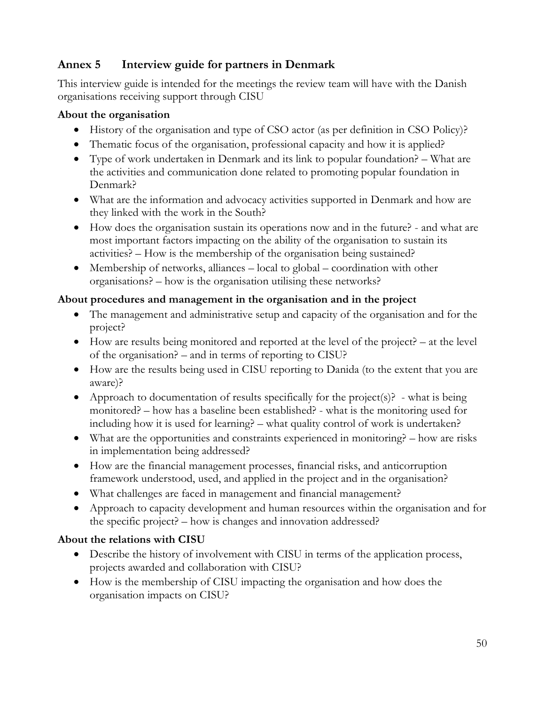## <span id="page-51-0"></span>**Annex 5 Interview guide for partners in Denmark**

This interview guide is intended for the meetings the review team will have with the Danish organisations receiving support through CISU

#### **About the organisation**

- History of the organisation and type of CSO actor (as per definition in CSO Policy)?
- Thematic focus of the organisation, professional capacity and how it is applied?
- Type of work undertaken in Denmark and its link to popular foundation? What are the activities and communication done related to promoting popular foundation in Denmark?
- What are the information and advocacy activities supported in Denmark and how are they linked with the work in the South?
- How does the organisation sustain its operations now and in the future? and what are most important factors impacting on the ability of the organisation to sustain its activities? – How is the membership of the organisation being sustained?
- Membership of networks, alliances local to global coordination with other organisations? – how is the organisation utilising these networks?

## **About procedures and management in the organisation and in the project**

- The management and administrative setup and capacity of the organisation and for the project?
- How are results being monitored and reported at the level of the project? at the level of the organisation? – and in terms of reporting to CISU?
- How are the results being used in CISU reporting to Danida (to the extent that you are aware)?
- Approach to documentation of results specifically for the project(s)? what is being monitored? – how has a baseline been established? - what is the monitoring used for including how it is used for learning? – what quality control of work is undertaken?
- What are the opportunities and constraints experienced in monitoring? how are risks in implementation being addressed?
- How are the financial management processes, financial risks, and anticorruption framework understood, used, and applied in the project and in the organisation?
- What challenges are faced in management and financial management?
- Approach to capacity development and human resources within the organisation and for the specific project? – how is changes and innovation addressed?

## **About the relations with CISU**

- Describe the history of involvement with CISU in terms of the application process, projects awarded and collaboration with CISU?
- How is the membership of CISU impacting the organisation and how does the organisation impacts on CISU?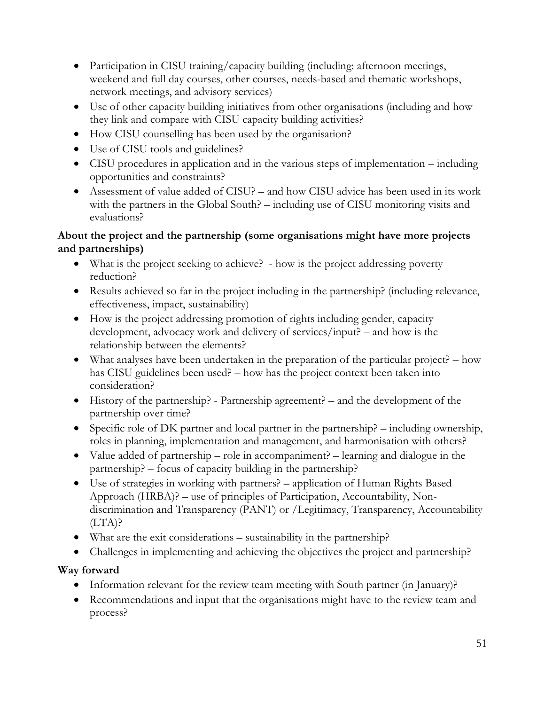- Participation in CISU training/capacity building (including: afternoon meetings, weekend and full day courses, other courses, needs-based and thematic workshops, network meetings, and advisory services)
- Use of other capacity building initiatives from other organisations (including and how they link and compare with CISU capacity building activities?
- How CISU counselling has been used by the organisation?
- Use of CISU tools and guidelines?
- CISU procedures in application and in the various steps of implementation including opportunities and constraints?
- Assessment of value added of CISU? and how CISU advice has been used in its work with the partners in the Global South? – including use of CISU monitoring visits and evaluations?

## **About the project and the partnership (some organisations might have more projects and partnerships)**

- What is the project seeking to achieve? how is the project addressing poverty reduction?
- Results achieved so far in the project including in the partnership? (including relevance, effectiveness, impact, sustainability)
- How is the project addressing promotion of rights including gender, capacity development, advocacy work and delivery of services/input? – and how is the relationship between the elements?
- What analyses have been undertaken in the preparation of the particular project? how has CISU guidelines been used? – how has the project context been taken into consideration?
- History of the partnership? Partnership agreement? and the development of the partnership over time?
- Specific role of DK partner and local partner in the partnership? including ownership, roles in planning, implementation and management, and harmonisation with others?
- Value added of partnership role in accompaniment? learning and dialogue in the partnership? – focus of capacity building in the partnership?
- Use of strategies in working with partners? application of Human Rights Based Approach (HRBA)? – use of principles of Participation, Accountability, Nondiscrimination and Transparency (PANT) or /Legitimacy, Transparency, Accountability  $(LTA)$ ?
- What are the exit considerations sustainability in the partnership?
- Challenges in implementing and achieving the objectives the project and partnership?

## **Way forward**

- Information relevant for the review team meeting with South partner (in January)?
- Recommendations and input that the organisations might have to the review team and process?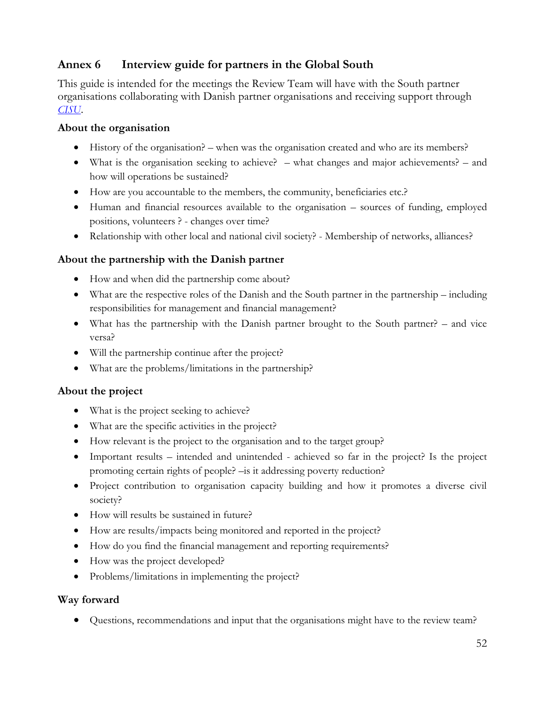## <span id="page-53-0"></span>**Annex 6 Interview guide for partners in the Global South**

This guide is intended for the meetings the Review Team will have with the South partner organisations collaborating with Danish partner organisations and receiving support through *[CISU](http://www.cisu.dk/home)*.

#### **About the organisation**

- History of the organisation? when was the organisation created and who are its members?
- What is the organisation seeking to achieve?  $-$  what changes and major achievements?  $-$  and how will operations be sustained?
- How are you accountable to the members, the community, beneficiaries etc.?
- Human and financial resources available to the organisation sources of funding, employed positions, volunteers ? - changes over time?
- Relationship with other local and national civil society? Membership of networks, alliances?

#### **About the partnership with the Danish partner**

- How and when did the partnership come about?
- What are the respective roles of the Danish and the South partner in the partnership including responsibilities for management and financial management?
- What has the partnership with the Danish partner brought to the South partner? and vice versa?
- Will the partnership continue after the project?
- What are the problems/limitations in the partnership?

#### **About the project**

- What is the project seeking to achieve?
- What are the specific activities in the project?
- How relevant is the project to the organisation and to the target group?
- Important results intended and unintended achieved so far in the project? Is the project promoting certain rights of people? –is it addressing poverty reduction?
- Project contribution to organisation capacity building and how it promotes a diverse civil society?
- How will results be sustained in future?
- How are results/impacts being monitored and reported in the project?
- How do you find the financial management and reporting requirements?
- How was the project developed?
- Problems/limitations in implementing the project?

#### **Way forward**

Questions, recommendations and input that the organisations might have to the review team?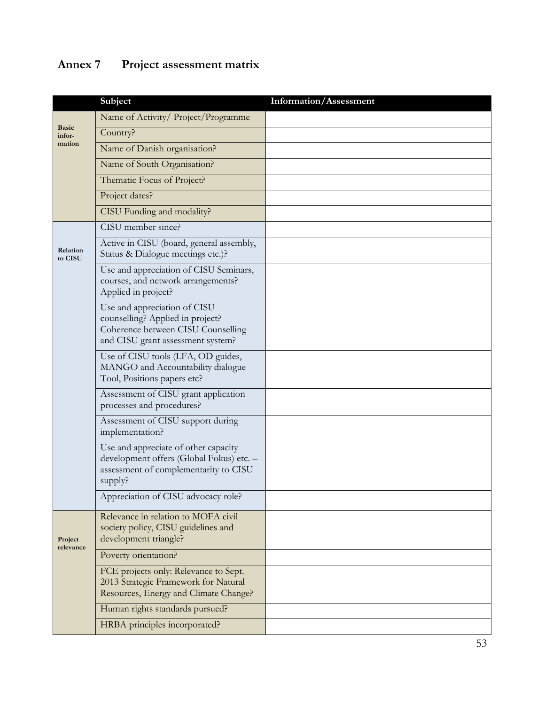# <span id="page-54-0"></span>**Annex 7 Project assessment matrix**

|                        | Subject                                                                                                                                     | Information/Assessment |
|------------------------|---------------------------------------------------------------------------------------------------------------------------------------------|------------------------|
|                        | Name of Activity/ Project/Programme                                                                                                         |                        |
| <b>Basic</b><br>infor- | Country?                                                                                                                                    |                        |
| mation                 | Name of Danish organisation?                                                                                                                |                        |
|                        | Name of South Organisation?                                                                                                                 |                        |
|                        | Thematic Focus of Project?                                                                                                                  |                        |
|                        | Project dates?                                                                                                                              |                        |
|                        | CISU Funding and modality?                                                                                                                  |                        |
|                        | CISU member since?                                                                                                                          |                        |
| Relation<br>to CISU    | Active in CISU (board, general assembly,<br>Status & Dialogue meetings etc.)?                                                               |                        |
|                        | Use and appreciation of CISU Seminars,<br>courses, and network arrangements?<br>Applied in project?                                         |                        |
|                        | Use and appreciation of CISU<br>counselling? Applied in project?<br>Coherence between CISU Counselling<br>and CISU grant assessment system? |                        |
|                        | Use of CISU tools (LFA, OD guides,<br>MANGO and Accountability dialogue<br>Tool, Positions papers etc?                                      |                        |
|                        | Assessment of CISU grant application<br>processes and procedures?                                                                           |                        |
|                        | Assessment of CISU support during<br>implementation?                                                                                        |                        |
|                        | Use and appreciate of other capacity<br>development offers (Global Fokus) etc. -<br>assessment of complementarity to CISU<br>supply?        |                        |
|                        | Appreciation of CISU advocacy role?                                                                                                         |                        |
| Project<br>relevance   | Relevance in relation to MOFA civil<br>society policy, CISU guidelines and<br>development triangle?                                         |                        |
|                        | Poverty orientation?                                                                                                                        |                        |
|                        | FCE projects only: Relevance to Sept.<br>2013 Strategic Framework for Natural<br>Resources, Energy and Climate Change?                      |                        |
|                        | Human rights standards pursued?                                                                                                             |                        |
|                        | HRBA principles incorporated?                                                                                                               |                        |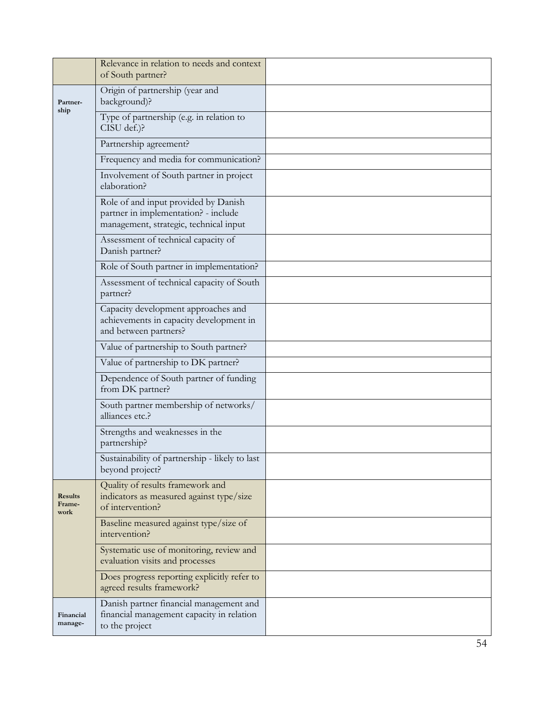|                                  | Relevance in relation to needs and context<br>of South partner?                                                        |  |
|----------------------------------|------------------------------------------------------------------------------------------------------------------------|--|
| Partner-<br>ship                 | Origin of partnership (year and<br>background)?                                                                        |  |
|                                  | Type of partnership (e.g. in relation to<br>CISU def.)?                                                                |  |
|                                  | Partnership agreement?                                                                                                 |  |
|                                  | Frequency and media for communication?                                                                                 |  |
|                                  | Involvement of South partner in project<br>elaboration?                                                                |  |
|                                  | Role of and input provided by Danish<br>partner in implementation? - include<br>management, strategic, technical input |  |
|                                  | Assessment of technical capacity of<br>Danish partner?                                                                 |  |
|                                  | Role of South partner in implementation?                                                                               |  |
|                                  | Assessment of technical capacity of South<br>partner?                                                                  |  |
|                                  | Capacity development approaches and<br>achievements in capacity development in<br>and between partners?                |  |
|                                  | Value of partnership to South partner?                                                                                 |  |
|                                  | Value of partnership to DK partner?                                                                                    |  |
|                                  | Dependence of South partner of funding<br>from DK partner?                                                             |  |
|                                  | South partner membership of networks/<br>alliances etc.?                                                               |  |
|                                  | Strengths and weaknesses in the<br>partnership?                                                                        |  |
|                                  | Sustainability of partnership - likely to last<br>beyond project?                                                      |  |
| <b>Results</b><br>Frame-<br>work | Quality of results framework and<br>indicators as measured against type/size<br>of intervention?                       |  |
|                                  | Baseline measured against type/size of<br>intervention?                                                                |  |
|                                  | Systematic use of monitoring, review and<br>evaluation visits and processes                                            |  |
|                                  | Does progress reporting explicitly refer to<br>agreed results framework?                                               |  |
| Financial<br>manage-             | Danish partner financial management and<br>financial management capacity in relation<br>to the project                 |  |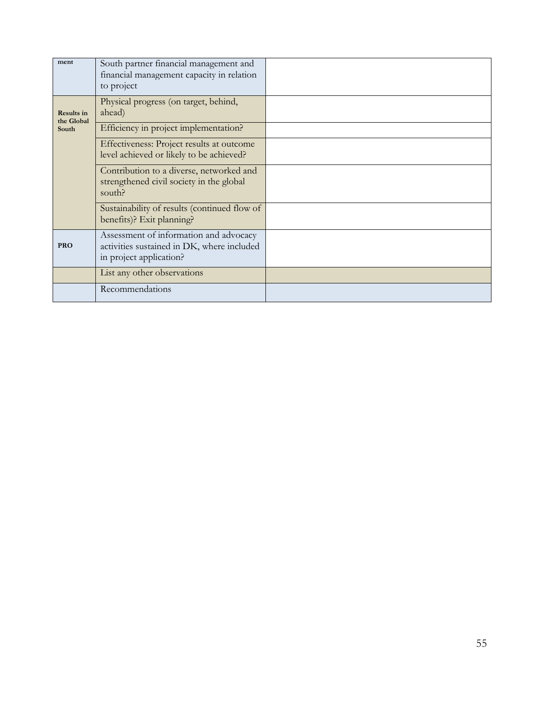| ment                            | South partner financial management and<br>financial management capacity in relation<br>to project               |  |
|---------------------------------|-----------------------------------------------------------------------------------------------------------------|--|
| <b>Results in</b><br>the Global | Physical progress (on target, behind,<br>ahead)                                                                 |  |
| South                           | Efficiency in project implementation?                                                                           |  |
|                                 | Effectiveness: Project results at outcome<br>level achieved or likely to be achieved?                           |  |
|                                 | Contribution to a diverse, networked and<br>strengthened civil society in the global<br>south?                  |  |
|                                 | Sustainability of results (continued flow of<br>benefits)? Exit planning?                                       |  |
| <b>PRO</b>                      | Assessment of information and advocacy<br>activities sustained in DK, where included<br>in project application? |  |
|                                 | List any other observations                                                                                     |  |
|                                 | Recommendations                                                                                                 |  |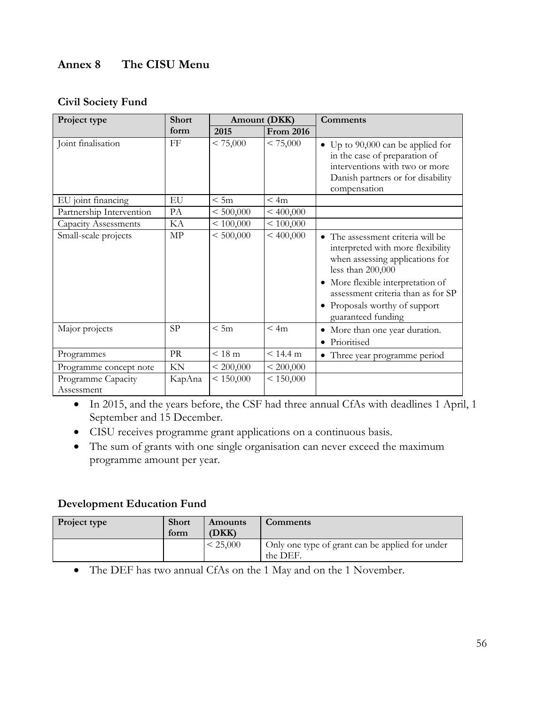## <span id="page-57-0"></span>**Annex 8 The CISU Menu**

#### **Civil Society Fund**

| Project type                     | <b>Short</b> |           | Amount (DKK)     | Comments                                                                                                                                                                                                                                                         |  |  |  |
|----------------------------------|--------------|-----------|------------------|------------------------------------------------------------------------------------------------------------------------------------------------------------------------------------------------------------------------------------------------------------------|--|--|--|
|                                  | form<br>2015 |           | <b>From 2016</b> |                                                                                                                                                                                                                                                                  |  |  |  |
| Joint finalisation               | FF           | < 75,000  | < 75,000         | Up to $90,000$ can be applied for<br>$\bullet$<br>in the case of preparation of<br>interventions with two or more<br>Danish partners or for disability<br>compensation                                                                                           |  |  |  |
| EU joint financing               | EU           | < 5m      | < 4m             |                                                                                                                                                                                                                                                                  |  |  |  |
| Partnership Intervention         | PA           | < 500,000 | < 400,000        |                                                                                                                                                                                                                                                                  |  |  |  |
| <b>Capacity Assessments</b>      | KА           | < 100,000 | < 100,000        |                                                                                                                                                                                                                                                                  |  |  |  |
| Small-scale projects             | MP           | < 500,000 | < 400,000        | • The assessment criteria will be<br>interpreted with more flexibility<br>when assessing applications for<br>less than 200,000<br>• More flexible interpretation of<br>assessment criteria than as for SP<br>• Proposals worthy of support<br>guaranteed funding |  |  |  |
| Major projects                   | SP           | < 5m      | < 4m             | • More than one year duration.<br>Prioritised                                                                                                                                                                                                                    |  |  |  |
| Programmes                       | PR           | < 18 m    | < 14.4 m         | • Three year programme period                                                                                                                                                                                                                                    |  |  |  |
| Programme concept note           | KN           | < 200,000 | < 200,000        |                                                                                                                                                                                                                                                                  |  |  |  |
| Programme Capacity<br>Assessment | KapAna       | < 150,000 | < 150,000        |                                                                                                                                                                                                                                                                  |  |  |  |

- In 2015, and the years before, the CSF had three annual CfAs with deadlines 1 April, 1 September and 15 December.
- CISU receives programme grant applications on a continuous basis.
- The sum of grants with one single organisation can never exceed the maximum programme amount per year.

#### **Development Education Fund**

| <b>Project type</b> | <b>Short</b><br>form | Amounts<br>(DKK) | <b>Comments</b>                                             |
|---------------------|----------------------|------------------|-------------------------------------------------------------|
|                     |                      | < 25,000         | Only one type of grant can be applied for under<br>the DEF. |

The DEF has two annual CfAs on the 1 May and on the 1 November.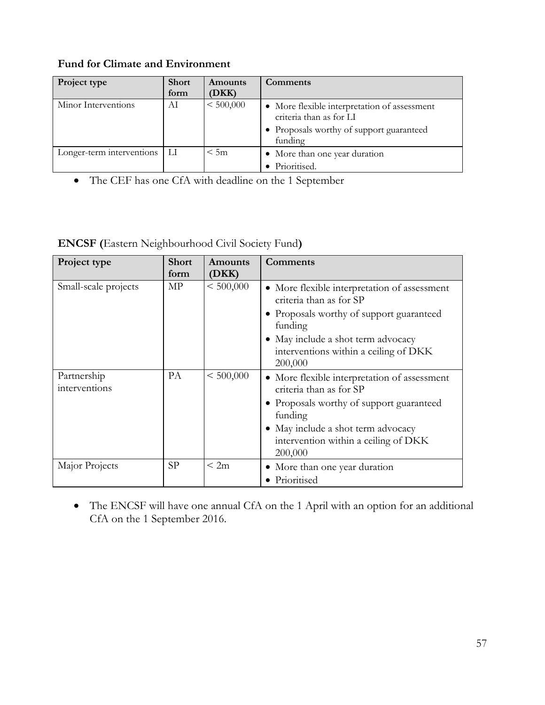| Project type              | <b>Short</b><br>form | Amounts<br>(DKK) | Comments                                                                                                                       |
|---------------------------|----------------------|------------------|--------------------------------------------------------------------------------------------------------------------------------|
| Minor Interventions       | AI                   | < 500,000        | • More flexible interpretation of assessment<br>criteria than as for LI<br>• Proposals worthy of support guaranteed<br>funding |
| Longer-term interventions | LI                   | < 5m             | • More than one year duration<br>Prioritised.                                                                                  |

## **Fund for Climate and Environment**

The CEF has one CfA with deadline on the 1 September

**ENCSF (**Eastern Neighbourhood Civil Society Fund**)**

| Project type                 | <b>Short</b> | Amounts   | Comments                                                                                                                                                                                                                 |  |  |  |
|------------------------------|--------------|-----------|--------------------------------------------------------------------------------------------------------------------------------------------------------------------------------------------------------------------------|--|--|--|
|                              | form         | (DKK)     |                                                                                                                                                                                                                          |  |  |  |
| Small-scale projects         | МP           | < 500,000 | • More flexible interpretation of assessment<br>criteria than as for SP<br>• Proposals worthy of support guaranteed<br>funding<br>• May include a shot term advocacy<br>interventions within a ceiling of DKK<br>200,000 |  |  |  |
| Partnership<br>interventions | PA           | < 500,000 | • More flexible interpretation of assessment<br>criteria than as for SP<br>• Proposals worthy of support guaranteed<br>funding<br>• May include a shot term advocacy<br>intervention within a ceiling of DKK<br>200,000  |  |  |  |
| Major Projects               | <b>SP</b>    | < 2m      | • More than one year duration<br>Prioritised                                                                                                                                                                             |  |  |  |

 The ENCSF will have one annual CfA on the 1 April with an option for an additional CfA on the 1 September 2016.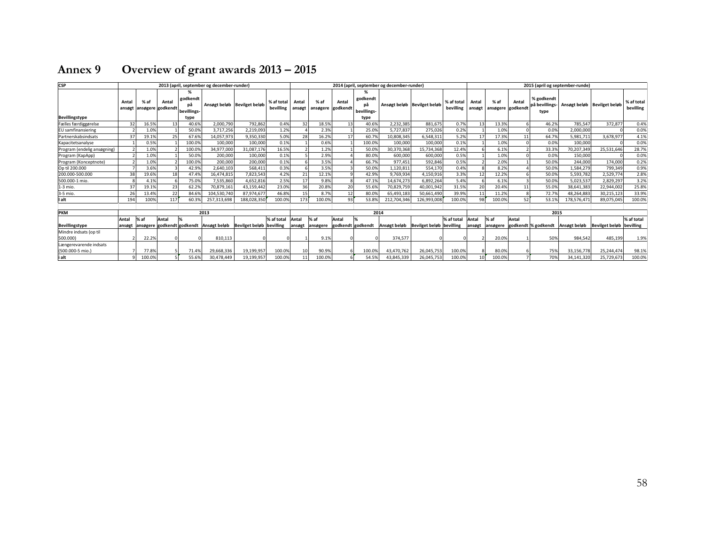<span id="page-59-0"></span>

| <b>CSP</b><br>2013 (april, september og december-runder) |                 |                           |       |                               |                               |                          |                         | 2014 (april, september og december-runder)<br>2015 (april og september-runde) |                             |                   |                               |              |                             |                         |                 |                  |                   |                                      |              |                             |                         |
|----------------------------------------------------------|-----------------|---------------------------|-------|-------------------------------|-------------------------------|--------------------------|-------------------------|-------------------------------------------------------------------------------|-----------------------------|-------------------|-------------------------------|--------------|-----------------------------|-------------------------|-----------------|------------------|-------------------|--------------------------------------|--------------|-----------------------------|-------------------------|
|                                                          | Antal<br>ansøgt | % af<br>ansøgere godkendt | Antal | godkendt<br>рä<br>bevillings- | Ansøgt beløb   Bevilget beløb |                          | % af total<br>bevilling | Antal<br>ansøgt                                                               | $%$ af<br>ansøgere godkendt | Antal             | godkendt<br>рā<br>bevillings- |              | Ansøgt beløb Bevilget beløb | % af total<br>bevilling | Antal<br>ansøgt | % af<br>ansøgere | Antal<br>godkendt | % godkendt<br>på bevillings-<br>type |              | Ansøgt beløb Bevilget beløb | % af total<br>bevilling |
| Bevillingstype                                           |                 |                           |       | type                          |                               |                          |                         |                                                                               |                             |                   | type                          |              |                             |                         |                 |                  |                   |                                      |              |                             |                         |
| Fælles færdiggørelse                                     | 32              | 16.59                     | 13    | 40.6%                         | 2.000.790                     | 792,862                  | 0.4%                    | 32                                                                            | 18.5%                       | 13                | 40.6%                         | 2,232,385    | 881,675                     | 0.7%                    | 13              | 13.3%            |                   | 46.2%                                | 785,547      | 372,877                     | 0.4%                    |
| EU samfinansiering                                       |                 | 1.09                      |       | 50.0%                         | 3,717,256                     | 2,219,093                | 1.2%                    |                                                                               | 2.3%                        |                   | 25.0%                         | 5,727,83     | 275,026                     | 0.2%                    |                 | 1.0%             |                   | 0.0%                                 | 2,000,000    |                             | 0.0%                    |
| Partnerskabsindsats                                      | 37              | 19.19                     | 25    | 67.6%                         | 14.057.973                    | 9.350.330                | 5.0%                    | 28                                                                            | 16.2%                       | 17                | 60.7%                         | 10.808.345   | 6.548.311                   | 5.2%                    | 17              | 17.3%            | 11                | 64.7%                                | 5.981.711    | 3.678.977                   | 4.1%                    |
| Kapacitetsanalyse                                        |                 | 0.5%                      |       | 100.0%                        | 100,000                       | 100,000                  | 0.1%                    |                                                                               | 0.6%                        |                   | 100.0%                        | 100,000      | 100,000                     | 0.1%                    |                 | 1.0%             |                   | 0.0%                                 | 100,000      |                             | 0.0%                    |
| Program (endelig ansøgning)                              |                 | 1.0%                      |       | 100.09                        | 34,977,000                    | 31,087,176               | 16.5%                   |                                                                               | 1.2%                        |                   | 50.0%                         | 30,370,368   | 15.734.368                  | 12.4%                   |                 | 6.1%             |                   | 33.39                                | 70,207,349   | 25,531,646                  | 28.7%                   |
| Program (KapApp)                                         |                 | 1.0%                      |       | 50.0%                         | 200.000                       | 100,000                  | 0.1%                    |                                                                               | 2.9%                        |                   | 80.0%                         | 600,000      | 600,000                     | 0.5%                    |                 | 1.0%             |                   | 0.0%                                 | 150,000      |                             | 0.0%                    |
| Program (Konceptnote)                                    |                 | 1.0%                      |       | 100.0%                        | 200.000                       | 200,000                  | 0.1%                    |                                                                               | 3.5%                        |                   | 66.7%                         | 977.451      | 592.846                     | 0.5%                    |                 | 2.0%             |                   | 50.0%                                | 244.000      | 174.000                     | 0.2%                    |
| Op til 200.000                                           |                 | 3.6%                      |       | 42.9%                         | 2.640.103                     | 568.411                  | 0.3%                    |                                                                               | 3.5%                        |                   | 50.0%                         | 1.120.811    | 554.170                     | 0.4%                    |                 | 8.2%             |                   | 50.0%                                | 1.584.279    | 799.349                     | 0.9%                    |
| 200.000-500.000                                          | 38              | 19.69                     | 18    | 47.4%                         | 16.474.815                    | 7.823.543                | 4.2%                    | 21                                                                            | 12.1%                       |                   | 42.9%                         | 9.769.934    | 4.150.916                   | 3.3%                    | 12              | 12.2%            |                   | 50.0%                                | 5.593.782    | 2.529.774                   | 2.8%                    |
| 500,000-1 mio.                                           |                 | 4.1%                      |       | 75.0%                         | 7,535,860                     | 4,652,816                | 2.5%                    | 17                                                                            | 9.8%                        |                   | 47.1%                         | 14,674,273   | 6,892,264                   | 5.4%                    |                 | 6.1%             |                   | 50.0%                                | 5.023.53     | 2,829,297                   | 3.2%                    |
| 1-3 mio.                                                 | 37              | 19.19                     | 23    | 62.2%                         | 70,879,161                    | 43,159,442               | 23.0%                   | 36                                                                            | 20.8%                       | 20                | 55.6%                         | 70,829,759   | 40,001,942                  | 31.5%                   | 20              | 20.4%            | 11                | 55.0%                                | 38,641,383   | 22,944,002                  | 25.8%                   |
| 3-5 mio.                                                 | 26              | 13.4%                     | 22    | 84.6%                         | 104,530,740                   | 87,974,677               | 46.8%                   | 15                                                                            | 8.7%                        | 12                | 80.0%                         | 65,493,183   | 50,661,490                  | 39.9%                   | 11              | 11.2%            |                   | 72.7%                                | 48,264,883   | 30,215,123                  | 33.9%                   |
| lı alt                                                   | 194             | 100%                      | 117   | 60.3%                         | 257.313.698                   | 188.028.350              | 100.0%                  | 173                                                                           | 100.0%                      | 93                | 53.8%                         | 212.704.346  | 126.993.008                 | 100.0%                  | 98              | 100.0%           | 52                | 53.1%                                | 178,576,47   | 89,075,045                  | 100.0%                  |
|                                                          |                 |                           |       |                               |                               |                          |                         |                                                                               |                             |                   |                               |              |                             |                         |                 |                  |                   |                                      |              |                             |                         |
| <b>PKM</b>                                               |                 |                           |       |                               | 2013                          |                          |                         |                                                                               |                             |                   | 2014                          |              |                             |                         |                 |                  |                   | 2015                                 |              |                             |                         |
|                                                          | Antal           | % af                      | Antal |                               |                               |                          | % af total              | Antal                                                                         | % af                        | Antal             |                               |              |                             | % af total              | Antal           | % af             | Antal             |                                      |              |                             | % af total              |
| Bevillingstype                                           |                 | ansøgt ansøgere godkendt  |       | godkendt                      | Ansøgt beløb                  | Bevilget beløb bevilling |                         | ansøgt                                                                        | ansøgere                    | godkendt godkendt |                               | Ansøgt beløb | Bevilget beløb bevilling    |                         | ansøgt          | ansøgere         |                   | godkendt % godkendt                  | Ansøgt beløb | <b>Bevilget beløb</b>       | bevilling               |
| Mindre indsats (op til                                   |                 |                           |       |                               |                               |                          |                         |                                                                               |                             |                   |                               |              |                             |                         |                 |                  |                   |                                      |              |                             |                         |
| 500.000)                                                 |                 | 22.2%                     |       |                               | 810,113                       |                          |                         |                                                                               | 9.1%                        |                   |                               | 374,577      |                             |                         |                 | 20.0%            |                   | 50%                                  | 984,542      | 485,199                     | 1.9%                    |
| Længerevarende indsats                                   |                 |                           |       |                               |                               |                          |                         |                                                                               |                             |                   |                               |              |                             |                         |                 |                  |                   |                                      |              |                             |                         |
| (500,000-5 mio.)                                         |                 | 77.89                     |       | 71.4%                         | 29.668.336                    | 19,199,957               | 100.0%                  | 10                                                                            | 90.9%                       |                   | 100.0%                        | 43.470.762   | 26.045.753                  | 100.09                  |                 | 80.0%            |                   | 75%                                  | 33.156.778   | 25,244,474                  | 98.1%                   |
| i alt                                                    |                 | 100.09                    |       | 55.6%                         | 30,478,449                    | 19,199,957               | 100.0%                  | 11                                                                            | 100.0%                      |                   | 54.5%                         | 43,845,339   | 26,045,753                  | 100.09                  | 10              | 100.0%           |                   | 70%                                  | 34,141,320   | 25,729,673                  | 100.0%                  |

# **Annex 9 Overview of grant awards 2013 – 2015**